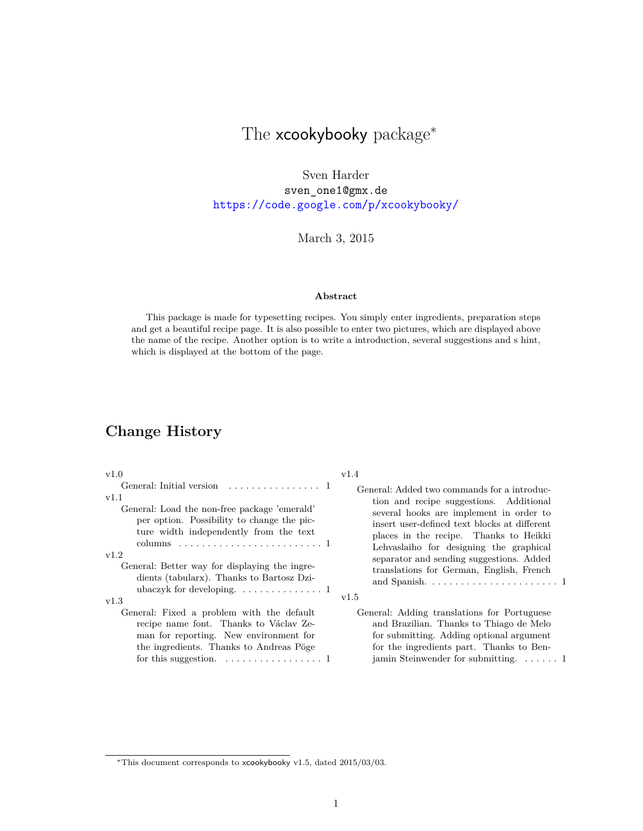# The xcookybooky package<sup>\*</sup>

Sven Harder sven\_one1@gmx.de <https://code.google.com/p/xcookybooky/>

March 3, 2015

#### **Abstract**

This package is made for typesetting recipes. You simply enter ingredients, preparation steps and get a beautiful recipe page. It is also possible to enter two pictures, which are displayed above the name of the recipe. Another option is to write a introduction, several suggestions and s hint, which is displayed at the bottom of the page.

# **Change History**

| v1.0                                                                                                                                                                                                                                           | v1.4                                                                                                                                                                                                                          |
|------------------------------------------------------------------------------------------------------------------------------------------------------------------------------------------------------------------------------------------------|-------------------------------------------------------------------------------------------------------------------------------------------------------------------------------------------------------------------------------|
|                                                                                                                                                                                                                                                | General: Added two commands for a introduc-                                                                                                                                                                                   |
| v1.1                                                                                                                                                                                                                                           | tion and recipe suggestions. Additional                                                                                                                                                                                       |
| General: Load the non-free package 'emerald'                                                                                                                                                                                                   | several hooks are implement in order to                                                                                                                                                                                       |
| per option. Possibility to change the pic-                                                                                                                                                                                                     | insert user-defined text blocks at different                                                                                                                                                                                  |
| ture width independently from the text                                                                                                                                                                                                         | places in the recipe. Thanks to Heikki                                                                                                                                                                                        |
|                                                                                                                                                                                                                                                | Lehvaslaiho for designing the graphical                                                                                                                                                                                       |
| v1.2                                                                                                                                                                                                                                           | separator and sending suggestions. Added                                                                                                                                                                                      |
| General: Better way for displaying the ingre-                                                                                                                                                                                                  | translations for German, English, French                                                                                                                                                                                      |
| dients (tabularx). Thanks to Bartosz Dzi-                                                                                                                                                                                                      | and Spanish. $\ldots \ldots \ldots \ldots \ldots \ldots \ldots 1$                                                                                                                                                             |
| ubaczyk for developing. $\dots \dots \dots \dots \dots$                                                                                                                                                                                        | v1.5                                                                                                                                                                                                                          |
| v1.3<br>General: Fixed a problem with the default<br>recipe name font. Thanks to Václav Ze-<br>man for reporting. New environment for<br>the ingredients. Thanks to Andreas Pöge<br>for this suggestion. $\dots \dots \dots \dots \dots \dots$ | General: Adding translations for Portuguese<br>and Brazilian. Thanks to Thiago de Melo<br>for submitting. Adding optional argument<br>for the ingredients part. Thanks to Ben-<br>jamin Steinwender for submitting. $\dots$ . |

<sup>∗</sup>This document corresponds to xcookybooky v1.5, dated 2015/03/03.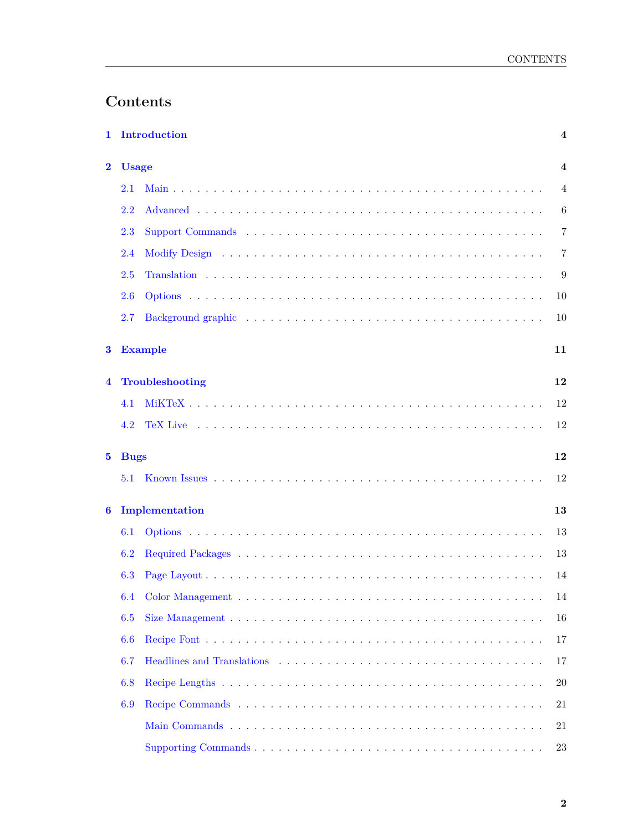# **Contents**

|             |              | 1 Introduction  | $\overline{\mathbf{4}}$ |
|-------------|--------------|-----------------|-------------------------|
| $\bf{2}$    | <b>Usage</b> |                 | 4                       |
|             | 2.1          |                 | 4                       |
|             | 2.2          |                 | 6                       |
|             | 2.3          |                 | $\overline{7}$          |
|             | 2.4          |                 | $\overline{7}$          |
|             | 2.5          |                 | 9                       |
|             | 2.6          |                 | 10                      |
|             | 2.7          |                 | 10                      |
| 3           |              | <b>Example</b>  | 11                      |
| 4           |              | Troubleshooting | 12                      |
|             | 4.1          |                 | 12                      |
|             | 4.2          |                 | 12                      |
| $5^{\circ}$ | <b>Bugs</b>  |                 | 12                      |
|             | 5.1          |                 | 12                      |
| 6           |              | Implementation  | 13                      |
|             | 6.1          |                 | 13                      |
|             | 6.2          |                 | 13                      |
|             | 6.3          |                 | 14                      |
|             | 6.4          |                 | 14                      |
|             | 6.5          |                 | 16                      |
|             | 6.6          |                 | 17                      |
|             | 6.7          |                 | 17                      |
|             | 6.8          |                 | <b>20</b>               |
|             | 6.9          |                 | 21                      |
|             |              |                 | 21                      |
|             |              |                 | 23                      |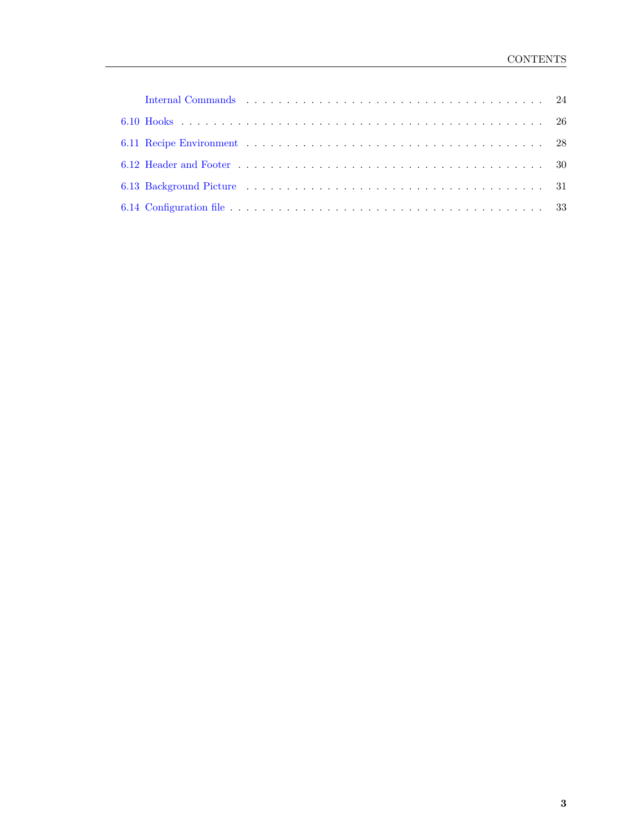| Internal Commands (a) respectively and the contract of the contract of the contract of the contract of the contract of the contract of the contract of the contract of the contract of the contract of the contract of the con |  |
|--------------------------------------------------------------------------------------------------------------------------------------------------------------------------------------------------------------------------------|--|
|                                                                                                                                                                                                                                |  |
|                                                                                                                                                                                                                                |  |
|                                                                                                                                                                                                                                |  |
|                                                                                                                                                                                                                                |  |
|                                                                                                                                                                                                                                |  |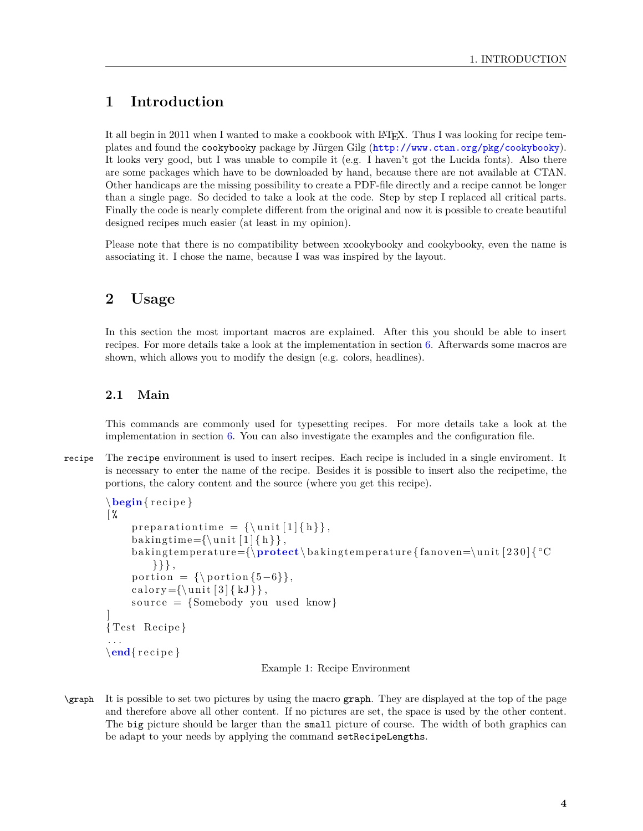# <span id="page-3-0"></span>**1 Introduction**

It all begin in 2011 when I wanted to make a cookbook with LAT<sub>EX</sub>. Thus I was looking for recipe templates and found the cookybooky package by Jürgen Gilg (<http://www.ctan.org/pkg/cookybooky>). It looks very good, but I was unable to compile it (e.g. I haven't got the Lucida fonts). Also there are some packages which have to be downloaded by hand, because there are not available at CTAN. Other handicaps are the missing possibility to create a PDF-file directly and a recipe cannot be longer than a single page. So decided to take a look at the code. Step by step I replaced all critical parts. Finally the code is nearly complete different from the original and now it is possible to create beautiful designed recipes much easier (at least in my opinion).

Please note that there is no compatibility between xcookybooky and cookybooky, even the name is associating it. I chose the name, because I was was inspired by the layout.

# <span id="page-3-1"></span>**2 Usage**

In this section the most important macros are explained. After this you should be able to insert recipes. For more details take a look at the implementation in section [6.](#page-12-0) Afterwards some macros are shown, which allows you to modify the design (e.g. colors, headlines).

# <span id="page-3-2"></span>**2.1 Main**

This commands are commonly used for typesetting recipes. For more details take a look at the implementation in section  $6$ . You can also investigate the examples and the configuration file.

recipe The recipe environment is used to insert recipes. Each recipe is included in a single enviroment. It is necessary to enter the name of the recipe. Besides it is possible to insert also the recipetime, the portions, the calory content and the source (where you get this recipe).

```
\begin{cases}r ecipe}
\frac{9}{6}p r e p a r a tion time = {\unif [1] {h}},
     baking time={\unit [1] { h } },
     baking temperature={\perp} protect\backslash baking temperature { fanoven=\unit [230] \circ°C
         \{\},
     portion = {\forall p portion {5-6}},
     calory={\unit [3] { kJ } },
     source = {Somebody you used know}]
{ Test Recipe }
. . .
\end{array}
```
Example 1: Recipe Environment

\graph It is possible to set two pictures by using the macro graph. They are displayed at the top of the page and therefore above all other content. If no pictures are set, the space is used by the other content. The big picture should be larger than the small picture of course. The width of both graphics can be adapt to your needs by applying the command setRecipeLengths.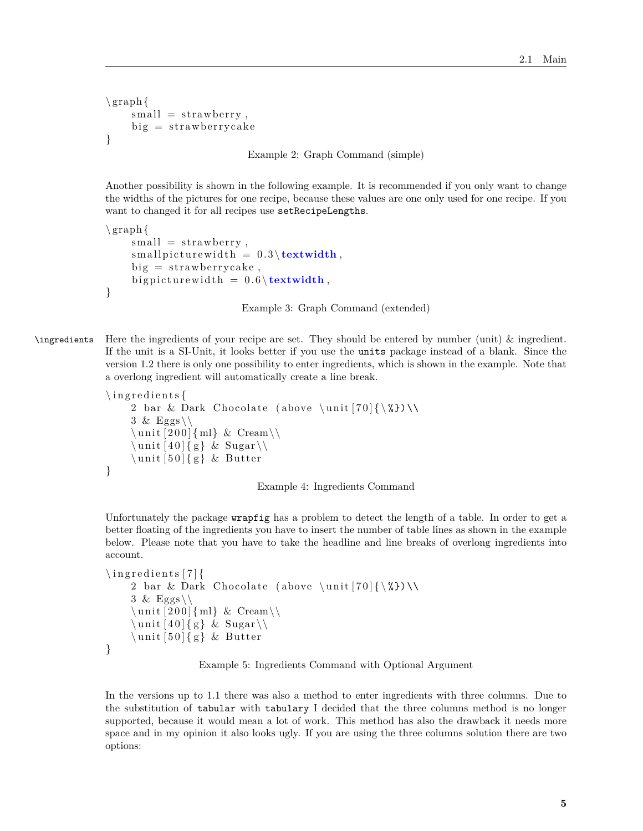```
\sqrt{\operatorname{graph} {\mathcal{A}}}small = strawberry,
       big = strawberrycake
}
```
Example 2: Graph Command (simple)

Another possibility is shown in the following example. It is recommended if you only want to change the widths of the pictures for one recipe, because these values are one only used for one recipe. If you want to changed it for all recipes use setRecipeLengths.

```
\sqrt{\frac{1}{g_{\text{raph}}}}small = strawberry,
      smallow all picture width = 0.3 \text{textwidth},
      big = strawberrycake,
      big picture width = 0.6 \text{textwidth},
}
```
Example 3: Graph Command (extended)

\ingredients Here the ingredients of your recipe are set. They should be entered by number (unit) & ingredient. If the unit is a SI-Unit, it looks better if you use the units package instead of a blank. Since the version 1.2 there is only one possibility to enter ingredients, which is shown in the example. Note that a overlong ingredient will automatically create a line break.

```
\in ingredients {
       2 bar & Dark Chocolate (above \unit [70]\{\{\&\}\)\&3 \& Eggs\\
       \langle \text{unit} [200] {\text{ml}} \& \text{Cream} \rangle\langle \text{unit} [40] \{ g \} \& \text{Sugar} \rangle\langle \text{unit} [50] \{ g \} \& \text{Butter}}
```


Unfortunately the package wrapfig has a problem to detect the length of a table. In order to get a better floating of the ingredients you have to insert the number of table lines as shown in the example below. Please note that you have to take the headline and line breaks of overlong ingredients into account.

```
\iningredients [7] {
       2 bar & Dark Chocolate (above \unit [70]\{\ \&\}\ \&3 \& Eggs\\
       \langle \text{unit} [200] \{ ml \} \& \text{Cream} \rangle\langle \text{unit} [40] {\text{g}} \& \text{Sugar} \rangle\langle \text{unit} [50] \{ g \} \& \text{Butter}}
```
#### Example 5: Ingredients Command with Optional Argument

In the versions up to 1.1 there was also a method to enter ingredients with three columns. Due to the substitution of tabular with tabulary I decided that the three columns method is no longer supported, because it would mean a lot of work. This method has also the drawback it needs more space and in my opinion it also looks ugly. If you are using the three columns solution there are two options: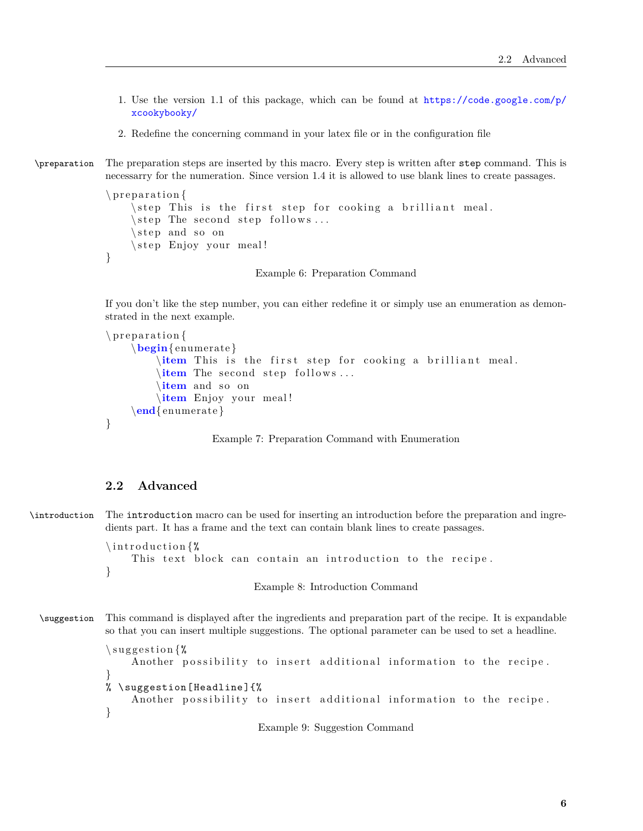- 1. Use the version 1.1 of this package, which can be found at [https://code.google.com/p/](https://code.google.com/p/xcookybooky/) [xcookybooky/](https://code.google.com/p/xcookybooky/)
- 2. Redefine the concerning command in your latex file or in the configuration file

\preparation The preparation steps are inserted by this macro. Every step is written after step command. This is necessarry for the numeration. Since version 1.4 it is allowed to use blank lines to create passages.

```
\n\gamma\step This is the first step for cooking a brilliant meal.
    \setminusstep The second step follows...
    \setminusstep and so on
    \step Enjoy your meal!
}
```
Example 6: Preparation Command

If you don't like the step number, you can either redefine it or simply use an enumeration as demonstrated in the next example.

```
\preceq preparation {
    \begin{ enumerate }
         \item This is the first step for cooking a brilliant meal.
         \item The second step follows ...
         \item and so on
        \item Enjoy your meal !
    \end{ enumerate }
}
```
Example 7: Preparation Command with Enumeration

## <span id="page-5-0"></span>**2.2 Advanced**

```
\introduction The introduction macro can be used for inserting an introduction before the preparation and ingre-
                dients part. It has a frame and the text can contain blank lines to create passages.
```

```
\int introduction \mathcal{U}This text block can contain an introduction to the recipe.
}
```
Example 8: Introduction Command

```
\suggestion This command is displayed after the ingredients and preparation part of the recipe. It is expandable
              so that you can insert multiple suggestions. The optional parameter can be used to set a headline.
```

```
\sum suggestion \gamma.
    Another possibility to insert additional information to the recipe.
}
% \ suggestion [Headline ]{%
    Another possibility to insert additional information to the recipe.
}
```
Example 9: Suggestion Command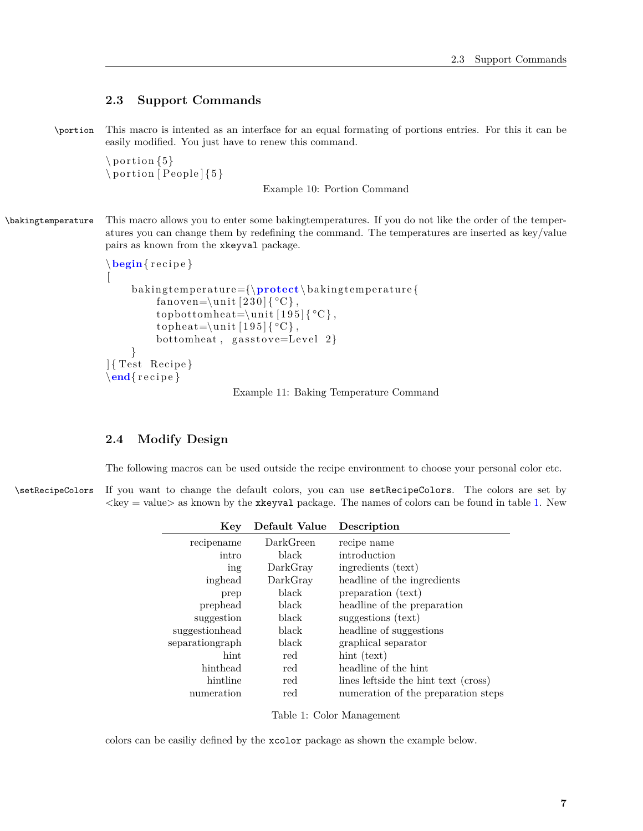# <span id="page-6-0"></span>**2.3 Support Commands**

\portion This macro is intented as an interface for an equal formating of portions entries. For this it can be easily modified. You just have to renew this command.

 $\setminus$  portion  $\{5\}$  $\forall$  portion [ People ] { 5 }

Example 10: Portion Command

## \bakingtemperature This macro allows you to enter some bakingtemperatures. If you do not like the order of the temperatures you can change them by redefining the command. The temperatures are inserted as key/value pairs as known from the xkeyval package.

```
\begin{cases}begin{ recipe}
[
    baking temperature={\protect\baking temperature {
         fanoven=\unit [230]\{°C\},topbottomheat=\unit [195]\{°C\},topheat=\unit [195] { °C },
         bottomheat, gas to ve=Level 2}
    }
] { Test Recipe }
\end{} recipe \}
```
Example 11: Baking Temperature Command

# <span id="page-6-1"></span>**2.4 Modify Design**

The following macros can be used outside the recipe environment to choose your personal color etc.

\setRecipeColors If you want to change the default colors, you can use setRecipeColors. The colors are set by  $\langle \text{key} = \text{value} \rangle$  as known by the xkeyval package. The names of colors can be found in table [1.](#page-6-2) New

| Key             | Default Value | Description                          |
|-----------------|---------------|--------------------------------------|
| recipename      | DarkGreen     | recipe name                          |
| intro           | black         | introduction                         |
| ing             | DarkGray      | ingredients (text)                   |
| inghead         | DarkGray      | headline of the ingredients          |
| prep            | black         | preparation (text)                   |
| prephead        | black         | headline of the preparation          |
| suggestion      | black         | suggestions (text)                   |
| suggestionhead  | black         | headline of suggestions              |
| separationgraph | black         | graphical separator                  |
| hint            | red           | hint (text)                          |
| hinthead        | red           | headline of the hint                 |
| hintline        | red           | lines leftside the hint text (cross) |
| numeration      | red           | numeration of the preparation steps  |

<span id="page-6-2"></span>Table 1: Color Management

colors can be easiliy defined by the xcolor package as shown the example below.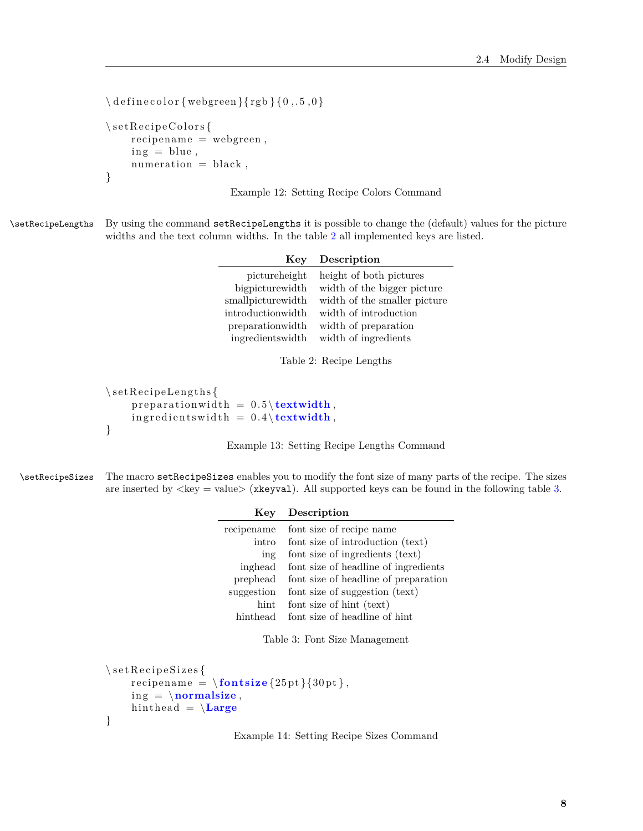```
\ \{ \ defined{ define color} \} \ rgb \{ 0, .5, 0 \}\setminus set Recipe Colors {
     recipename = webgreen,ing = blue,numeration = black,}
```
Example 12: Setting Recipe Colors Command

\setRecipeLengths By using the command setRecipeLengths it is possible to change the (default) values for the picture widths and the text column widths. In the table [2](#page-7-0) all implemented keys are listed.

| Key               | Description                  |
|-------------------|------------------------------|
| pictureheight     | height of both pictures      |
| bigpicturewidth   | width of the bigger picture  |
| smallpicturewidth | width of the smaller picture |
| introductionwidth | width of introduction        |
| preparationwidth  | width of preparation         |
| ingredientswidth  | width of ingredients         |

<span id="page-7-0"></span>Table 2: Recipe Lengths

```
\setminus setRecipeLengths {
     preparationwidth = 0.5 \text{textwidth},\text{in gredients} width = 0.4 \text{textwidth},
}
```
Example 13: Setting Recipe Lengths Command

\setRecipeSizes The macro setRecipeSizes enables you to modify the font size of many parts of the recipe. The sizes are inserted by  $\langle \text{key} = \text{value} \rangle$  (xkeyval). All supported keys can be found in the following table [3.](#page-7-1)

| Key        | Description                          |
|------------|--------------------------------------|
| recipename | font size of recipe name             |
| intro      | font size of introduction (text)     |
| ing        | font size of ingredients (text)      |
| inghead    | font size of headline of ingredients |
| prephead   | font size of headline of preparation |
| suggestion | font size of suggestion (text)       |
| hint       | font size of hint (text)             |
| hinthead   | font size of headline of hint        |

<span id="page-7-1"></span>Table 3: Font Size Management

```
\setminus s e t R e c i p e S i z e s {
     recipename = \{\textbf{0} | \{30pt\},\}ing = \{normalsize,hin the ad = \iotaLarge
}
```
Example 14: Setting Recipe Sizes Command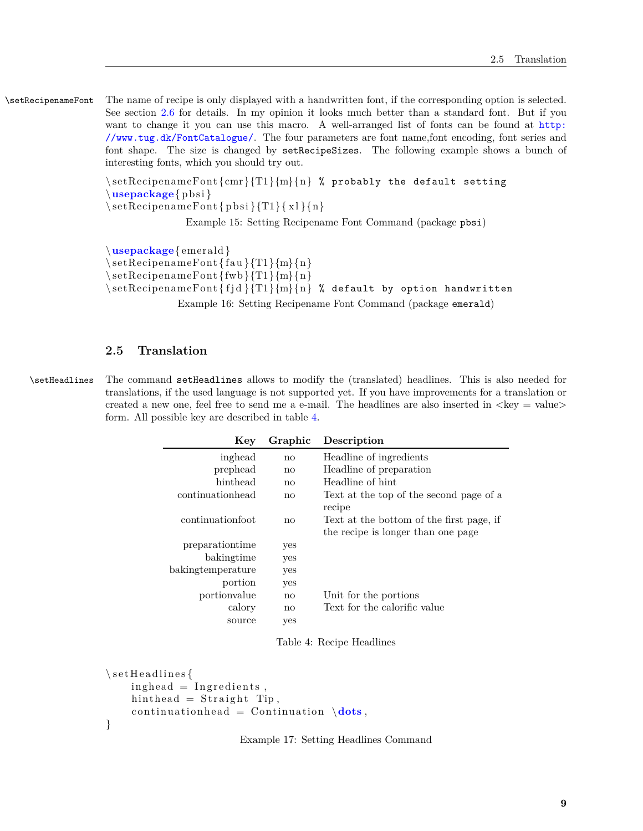\setRecipenameFont The name of recipe is only displayed with a handwritten font, if the corresponding option is selected. See section [2.6](#page-9-0) for details. In my opinion it looks much better than a standard font. But if you want to change it you can use this macro. A well-arranged list of fonts can be found at [http:](http://www.tug.dk/FontCatalogue/) [//www.tug.dk/FontCatalogue/](http://www.tug.dk/FontCatalogue/). The four parameters are font name,font encoding, font series and font shape. The size is changed by setRecipeSizes. The following example shows a bunch of interesting fonts, which you should try out.

> $\setminus \setminus setRecipenameFont{cmr}{T1}{m}{n}$  % probably the default setting  $\langle$ **usepackage** $\{$ pbsi $\}$

 $\setminus$ setRecipenameFont $\{$ pbsi $\T1\}{x1}{n}$ 

Example 15: Setting Recipename Font Command (package pbsi)

\**usepackage**{ emerald }  $\setminus$ setRecipenameFont $\{ \text{fau} \}$  $\{ \text{m} \}$  $\setminus$ setRecipenameFont ${\text{fwb}}$  $T1$  ${m}{n}$  $\setminus \setminus \setminus \setminus \{ f_j \in \{f_j \mid \{m\} \mid n \}$  % default by option handwritten

Example 16: Setting Recipename Font Command (package emerald)

#### <span id="page-8-0"></span>**2.5 Translation**

\setHeadlines The command setHeadlines allows to modify the (translated) headlines. This is also needed for translations, if the used language is not supported yet. If you have improvements for a translation or created a new one, feel free to send me a e-mail. The headlines are also inserted in  $\langle \text{key} = \text{value} \rangle$ form. All possible key are described in table [4.](#page-8-1)

| Key               | Graphic | Description                                                                              |
|-------------------|---------|------------------------------------------------------------------------------------------|
| inghead           | no      | Headline of ingredients                                                                  |
| prephead          | no      | Headline of preparation                                                                  |
| hinthead          | no      | Headline of hint                                                                         |
| continuationhead  | no      | Text at the top of the second page of a                                                  |
| continuationfoot  | no      | recipe<br>Text at the bottom of the first page, if<br>the recipe is longer than one page |
| preparationtime   | yes     |                                                                                          |
| bakingtime        | yes     |                                                                                          |
| bakingtemperature | yes     |                                                                                          |
| portion           | yes     |                                                                                          |
| portionvalue      | no      | Unit for the portions                                                                    |
| calory            | no      | Text for the calorific value                                                             |
| source            | yes     |                                                                                          |

<span id="page-8-1"></span>Table 4: Recipe Headlines

```
\setminus set Headlines {
     ing head = Ing relations,hin the ad = Straight Tip,
     continuation head = Continuation \dot{\text{dots}},
}
```
Example 17: Setting Headlines Command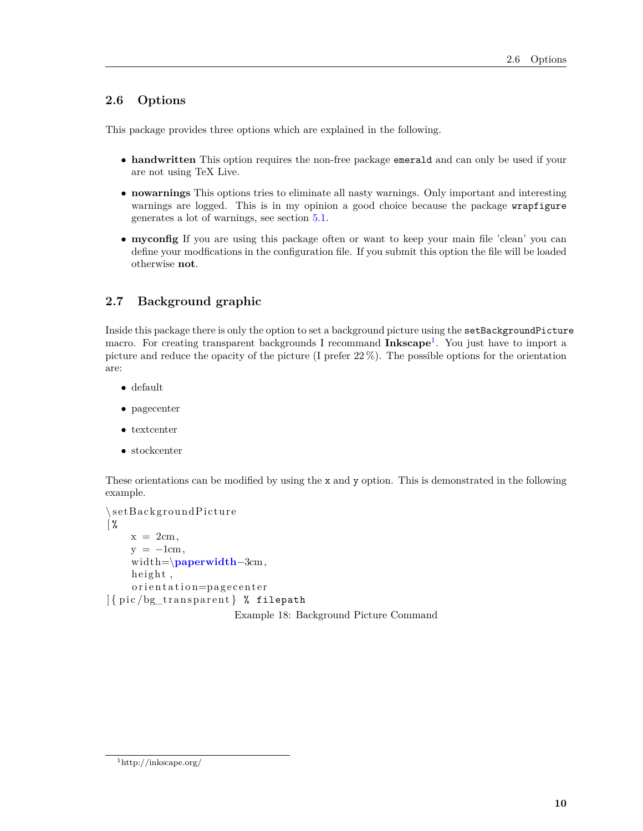# <span id="page-9-0"></span>**2.6 Options**

This package provides three options which are explained in the following.

- **handwritten** This option requires the non-free package emerald and can only be used if your are not using TeX Live.
- **nowarnings** This options tries to eliminate all nasty warnings. Only important and interesting warnings are logged. This is in my opinion a good choice because the package wrapfigure generates a lot of warnings, see section [5.1.](#page-11-4)
- **myconfig** If you are using this package often or want to keep your main file 'clean' you can define your modfications in the configuration file. If you submit this option the file will be loaded otherwise **not**.

# <span id="page-9-1"></span>**2.7 Background graphic**

Inside this package there is only the option to set a background picture using the setBackgroundPicture macro. For creating transparent backgrounds I recommand **Inkscape**[1](#page-9-2) . You just have to import a picture and reduce the opacity of the picture (I prefer 22 %). The possible options for the orientation are:

- default
- pagecenter
- textcenter
- stockcenter

These orientations can be modified by using the x and y option. This is demonstrated in the following example.

```
\setminussetBackgroundPicture
\frac{9}{6}x = 2cm,
     y = -1cm,
     width=\paperwidth−3cm,
     height,
     orientation=pagecenter
\left| \frac{1}{2} \right| [ pic /bg_transparent ] % filepath
```
Example 18: Background Picture Command

<span id="page-9-2"></span> $\rm ^1$  http://inkscape.org/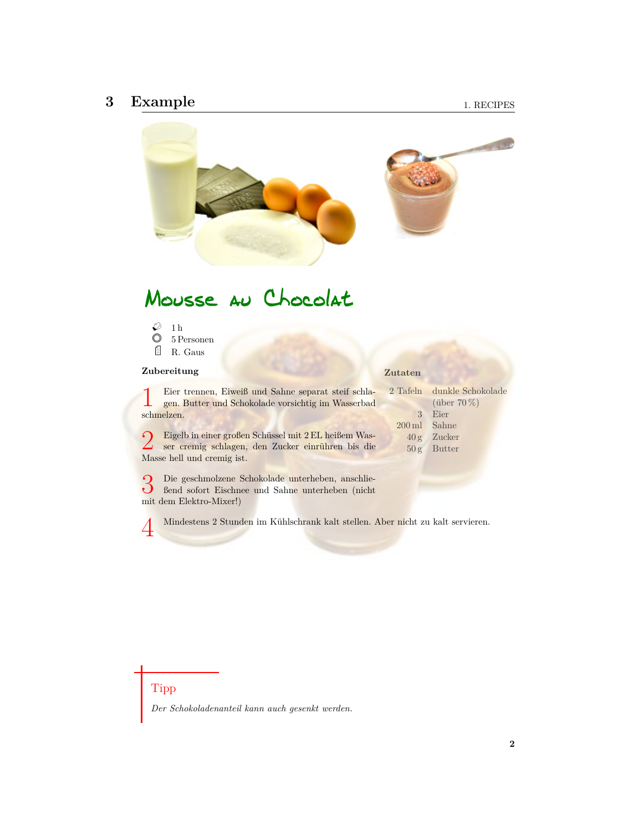# <span id="page-10-0"></span>**3 Example**



# Mousse au Chocolat

 $\varnothing$  1h  $\oslash$  5 Personen R. Gaus

#### **Zubereitung**

#### 2 Tafeln dunkle Schokolade Eier trennen, Eiweiß und Sahne separat steif schla-

1 gen. Butter und Schokolade vorsichtig im Wasserbad schmelzen.

2 Eigelb in einer großen Schüssel mit 2 EL heißem Wasser cremig schlagen, den Zucker einrühren bis die ser cremig schlagen, den Zucker einrühren bis die Masse hell und cremig ist.

(über 70 %) 3 Eier 200 ml Sahne 40 g Zucker 50 g Butter

**Zutaten**

3 Die geschmolzene Schokolade unterheben, anschließend sofort Eischnee und Sahne unterheben (nicht mit dem Elektro-Mixer!)

4 Mindestens 2 Stunden im Kühlschrank kalt stellen. Aber nicht zu kalt servieren.

# Tipp

*Der Schokoladenanteil kann auch gesenkt werden.*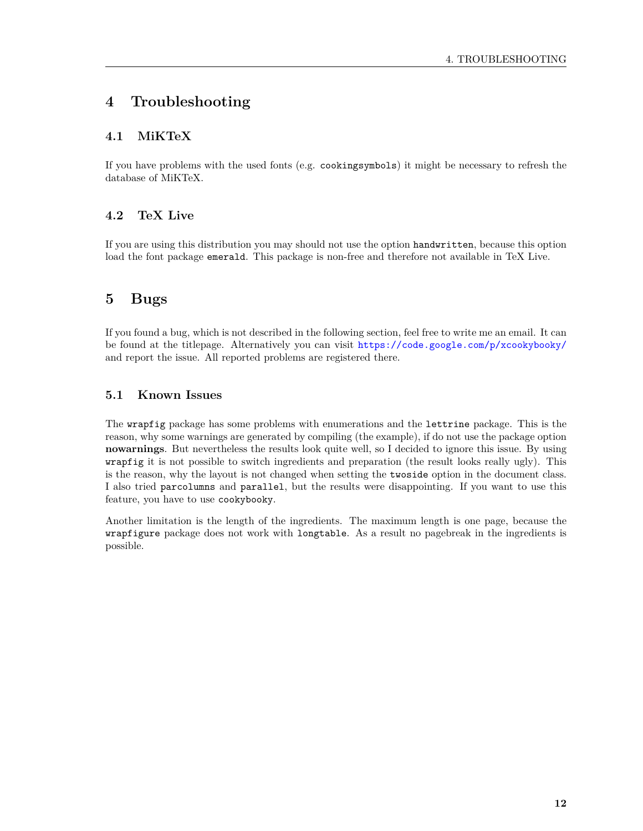# <span id="page-11-0"></span>**4 Troubleshooting**

# <span id="page-11-1"></span>**4.1 MiKTeX**

If you have problems with the used fonts (e.g. cookingsymbols) it might be necessary to refresh the database of MiKTeX.

# <span id="page-11-2"></span>**4.2 TeX Live**

If you are using this distribution you may should not use the option handwritten, because this option load the font package emerald. This package is non-free and therefore not available in TeX Live.

# <span id="page-11-3"></span>**5 Bugs**

If you found a bug, which is not described in the following section, feel free to write me an email. It can be found at the titlepage. Alternatively you can visit <https://code.google.com/p/xcookybooky/> and report the issue. All reported problems are registered there.

# <span id="page-11-4"></span>**5.1 Known Issues**

The wrapfig package has some problems with enumerations and the lettrine package. This is the reason, why some warnings are generated by compiling (the example), if do not use the package option **nowarnings**. But nevertheless the results look quite well, so I decided to ignore this issue. By using wrapfig it is not possible to switch ingredients and preparation (the result looks really ugly). This is the reason, why the layout is not changed when setting the twoside option in the document class. I also tried parcolumns and parallel, but the results were disappointing. If you want to use this feature, you have to use cookybooky.

Another limitation is the length of the ingredients. The maximum length is one page, because the wrapfigure package does not work with longtable. As a result no pagebreak in the ingredients is possible.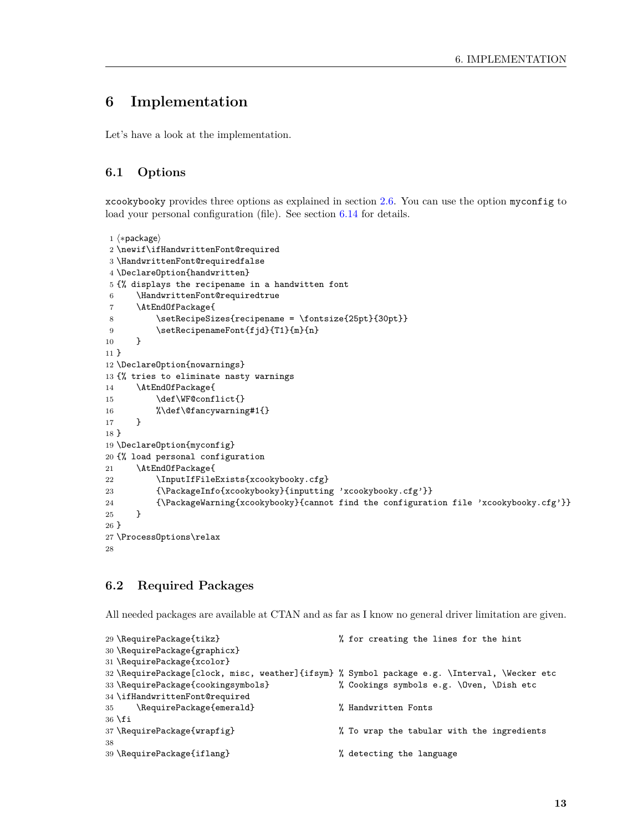# <span id="page-12-0"></span>**6 Implementation**

Let's have a look at the implementation.

# <span id="page-12-1"></span>**6.1 Options**

xcookybooky provides three options as explained in section [2.6.](#page-9-0) You can use the option myconfig to load your personal configuration (file). See section [6.14](#page-32-0) for details.

```
1 (*package)
2 \newif\ifHandwrittenFont@required
3 \HandwrittenFont@requiredfalse
4 \DeclareOption{handwritten}
5 {% displays the recipename in a handwitten font
6 \HandwrittenFont@requiredtrue
 7 \AtEndOfPackage{
8 \setRecipeSizes{recipename = \fontsize{25pt}{30pt}}
9 \setRecipenameFont{fjd}{T1}{m}{n}
10 }
11 }
12 \DeclareOption{nowarnings}
13 {% tries to eliminate nasty warnings
14 \AtEndOfPackage{
15 \def\WF@conflict{}
16 %\def\@fancywarning#1{}
17 }
18 }
19 \DeclareOption{myconfig}
20 {% load personal configuration
21 \AtEndOfPackage{
22 \InputIfFileExists{xcookybooky.cfg}
23 {\PackageInfo{xcookybooky}{inputting 'xcookybooky.cfg'}}
24 {\PackageWarning{xcookybooky}{cannot find the configuration file 'xcookybooky.cfg'}}
25 }
26 }
27 \ProcessOptions\relax
28
```
# <span id="page-12-2"></span>**6.2 Required Packages**

All needed packages are available at CTAN and as far as I know no general driver limitation are given.

```
29 \RequirePackage{tikz} % for creating the lines for the hint
30 \RequirePackage{graphicx}
31 \RequirePackage{xcolor}
32 \RequirePackage[clock, misc, weather]{ifsym} % Symbol package e.g. \Interval, \Wecker etc
33 \RequirePackage{cookingsymbols} % Cookings symbols e.g. \Oven, \Dish etc
34 \ifHandwrittenFont@required
35 \RequirePackage{emerald} % Handwritten Fonts
36 \fi
37 \RequirePackage{wrapfig} % To wrap the tabular with the ingredients
38
39 \RequirePackage{iflang} % detecting the language
```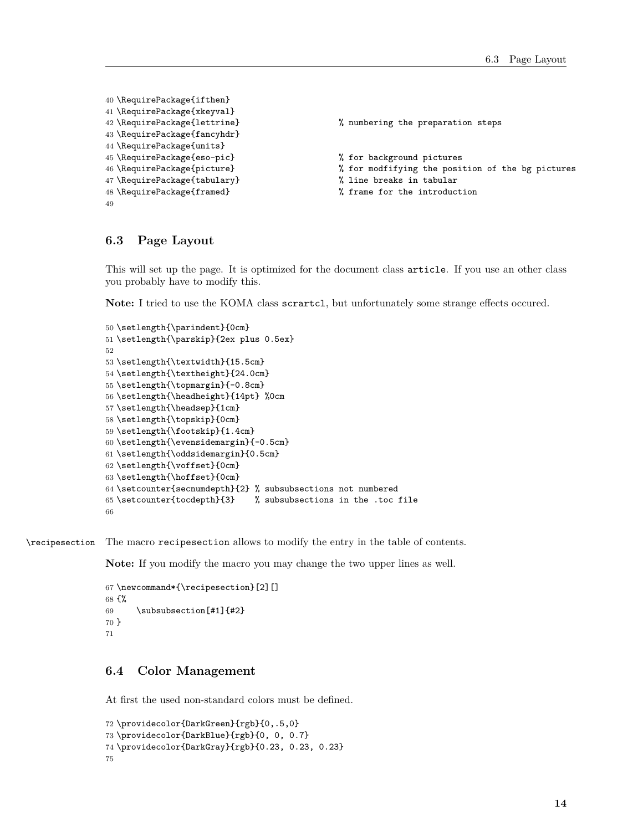```
40 \RequirePackage{ifthen}
41 \RequirePackage{xkeyval}
42 \RequirePackage{lettrine} % numbering the preparation steps
43 \RequirePackage{fancyhdr}
44 \RequirePackage{units}
45 \RequirePackage{eso-pic} % for background pictures
46 \RequirePackage{picture} % for modfifying the position of the bg pictures
47 \RequirePackage{tabulary} % line breaks in tabular
48 \RequirePackage{framed} % frame for the introduction
49
```
### <span id="page-13-0"></span>**6.3 Page Layout**

This will set up the page. It is optimized for the document class article. If you use an other class you probably have to modify this.

**Note:** I tried to use the KOMA class scrartcl, but unfortunately some strange effects occured.

```
50 \setlength{\parindent}{0cm}
51 \setlength{\parskip}{2ex plus 0.5ex}
52
53 \setlength{\textwidth}{15.5cm}
54 \setlength{\textheight}{24.0cm}
55 \setlength{\topmargin}{-0.8cm}
56 \setlength{\headheight}{14pt} %0cm
57 \setlength{\headsep}{1cm}
58 \setlength{\topskip}{0cm}
59 \setlength{\footskip}{1.4cm}
60 \setlength{\evensidemargin}{-0.5cm}
61 \setlength{\oddsidemargin}{0.5cm}
62 \setlength{\voffset}{0cm}
63 \setlength{\hoffset}{0cm}
64 \setcounter{secnumdepth}{2} % subsubsections not numbered
65 \setcounter{tocdepth}{3} % subsubsections in the .toc file
66
```
\recipesection The macro recipesection allows to modify the entry in the table of contents.

**Note:** If you modify the macro you may change the two upper lines as well.

```
67 \newcommand*{\recipesection}[2][]
68 {%
69 \subsubsection[#1]{#2}
70 }
71
```
## <span id="page-13-1"></span>**6.4 Color Management**

At first the used non-standard colors must be defined.

```
72 \providecolor{DarkGreen}{rgb}{0,.5,0}
73 \providecolor{DarkBlue}{rgb}{0, 0, 0.7}
74 \providecolor{DarkGray}{rgb}{0.23, 0.23, 0.23}
75
```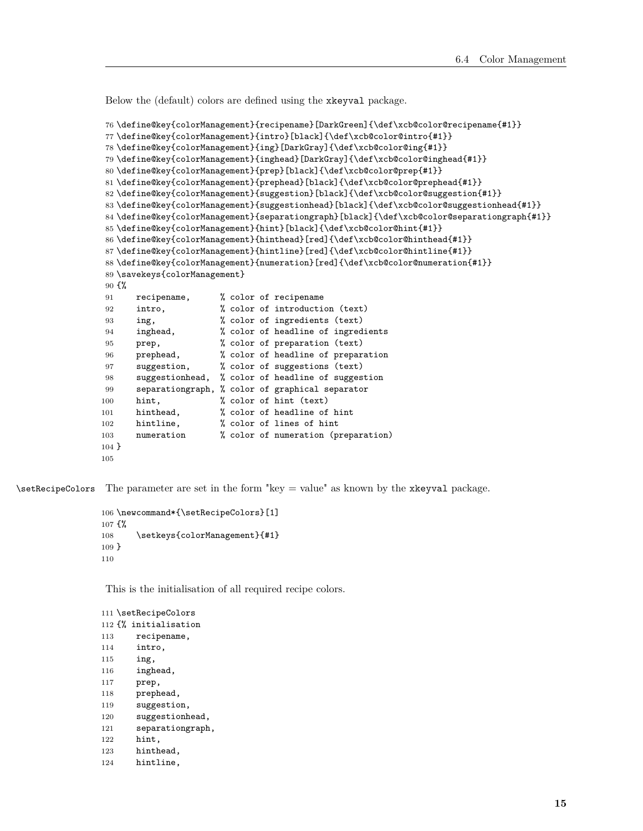Below the (default) colors are defined using the xkeyval package.

```
76 \define@key{colorManagement}{recipename}[DarkGreen]{\def\xcb@color@recipename{#1}}
                 77 \define@key{colorManagement}{intro}[black]{\def\xcb@color@intro{#1}}
                 78 \define@key{colorManagement}{ing}[DarkGray]{\def\xcb@color@ing{#1}}
                 79 \define@key{colorManagement}{inghead}[DarkGray]{\def\xcb@color@inghead{#1}}
                 80 \define@key{colorManagement}{prep}[black]{\def\xcb@color@prep{#1}}
                 81 \define@key{colorManagement}{prephead}[black]{\def\xcb@color@prephead{#1}}
                 82 \define@key{colorManagement}{suggestion}[black]{\def\xcb@color@suggestion{#1}}
                 83 \define@key{colorManagement}{suggestionhead}[black]{\def\xcb@color@suggestionhead{#1}}
                 84 \define@key{colorManagement}{separationgraph}[black]{\def\xcb@color@separationgraph{#1}}
                 85 \define@key{colorManagement}{hint}[black]{\def\xcb@color@hint{#1}}
                 86 \define@key{colorManagement}{hinthead}[red]{\def\xcb@color@hinthead{#1}}
                 87 \define@key{colorManagement}{hintline}[red]{\def\xcb@color@hintline{#1}}
                 88 \define@key{colorManagement}{numeration}[red]{\def\xcb@color@numeration{#1}}
                 89 \savekeys{colorManagement}
                 90 {%
                 91 recipename, % color of recipename
                 92 intro, \% color of introduction (text)
                 93 ing, % color of ingredients (text)
                 94 inghead, % color of headline of ingredients
                 95 prep, % color of preparation (text)
                 96 prephead, % color of headline of preparation
                 97 suggestion, % color of suggestions (text)
                 98 suggestionhead, % color of headline of suggestion
                 99 separationgraph, % color of graphical separator
                100 hint, \frac{1}{2} color of hint (text)
                101 hinthead, % color of headline of hint
                102 hintline, % color of lines of hint
                103 numeration % color of numeration (preparation)
                104 }
                105
\setRecipeColors The parameter are set in the form "key = value" as known by the xkeyval package.
                106 \newcommand*{\setRecipeColors}[1]
                107 {%
                108 \setkeys{colorManagement}{#1}
                109 }
                110
                 This is the initialisation of all required recipe colors.
                111 \setRecipeColors
                112 {% initialisation
                113 recipename,
                114 intro,
                115 ing,
```
- inghead,
- prep,
- prephead,
- suggestion,
- suggestionhead,
- separationgraph,
- hint,
- hinthead,
- hintline,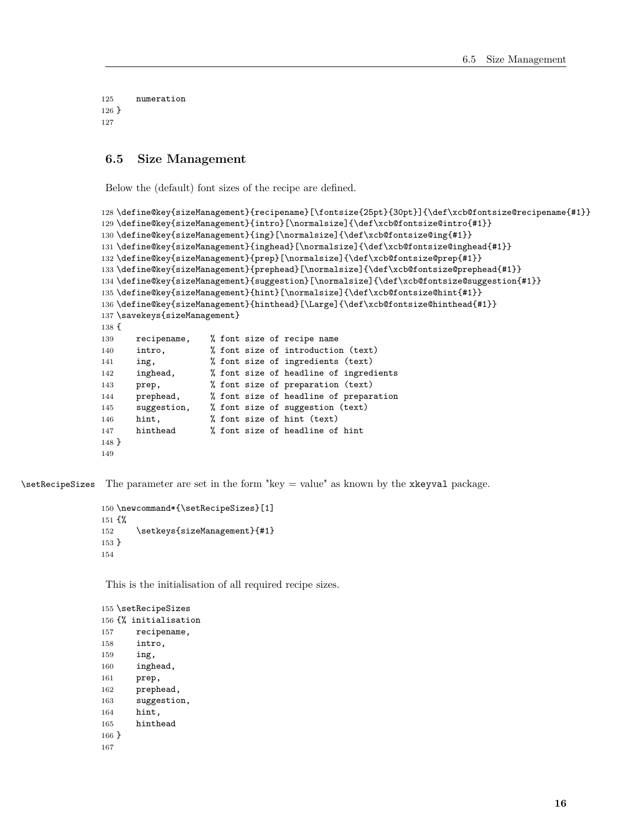numeration } 

#### <span id="page-15-0"></span>**6.5 Size Management**

Below the (default) font sizes of the recipe are defined.

```
128 \define@key{sizeManagement}{recipename}[\fontsize{25pt}{30pt}]{\def\xcb@fontsize@recipename{#1}}
129 \define@key{sizeManagement}{intro}[\normalsize]{\def\xcb@fontsize@intro{#1}}
130 \define@key{sizeManagement}{ing}[\normalsize]{\def\xcb@fontsize@ing{#1}}
131 \define@key{sizeManagement}{inghead}[\normalsize]{\def\xcb@fontsize@inghead{#1}}
132 \define@key{sizeManagement}{prep}[\normalsize]{\def\xcb@fontsize@prep{#1}}
133 \define@key{sizeManagement}{prephead}[\normalsize]{\def\xcb@fontsize@prephead{#1}}
134 \define@key{sizeManagement}{suggestion}[\normalsize]{\def\xcb@fontsize@suggestion{#1}}
135 \define@key{sizeManagement}{hint}[\normalsize]{\def\xcb@fontsize@hint{#1}}
136 \define@key{sizeManagement}{hinthead}[\Large]{\def\xcb@fontsize@hinthead{#1}}
137 \savekeys{sizeManagement}
138 {
139 recipename, % font size of recipe name
140 intro, \frac{1}{2} font size of introduction (text)
141 ing, % font size of ingredients (text)
142 inghead, % font size of headline of ingredients
143 prep, \frac{1}{3} font size of preparation (text)
144 prephead, % font size of headline of preparation
145 suggestion, % font size of suggestion (text)
146 hint, % font size of hint (text)
147 hinthead % font size of headline of hint
148 }
149
```
 $\setminus$ setRecipeSizes The parameter are set in the form "key = value" as known by the xkeyval package.

```
150 \newcommand*{\setRecipeSizes}[1]
151 {%
152 \setkeys{sizeManagement}{#1}
153 }
154
```
This is the initialisation of all required recipe sizes.

```
155 \setRecipeSizes
156 {% initialisation
157 recipename,
158 intro,
159 ing,
160 inghead,
161 prep,
162 prephead,
163 suggestion,
164 hint,
165 hinthead
166 }
167
```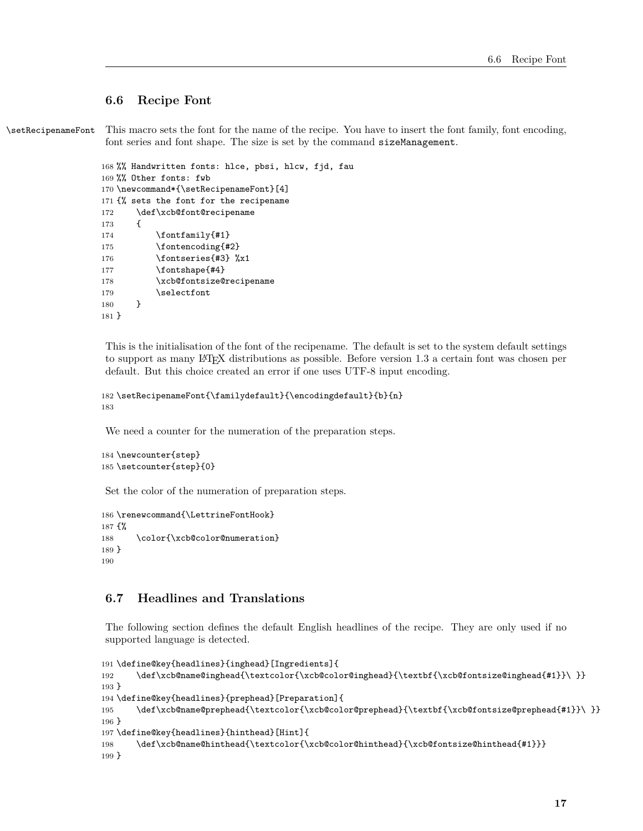#### <span id="page-16-0"></span>**6.6 Recipe Font**

\setRecipenameFont This macro sets the font for the name of the recipe. You have to insert the font family, font encoding, font series and font shape. The size is set by the command sizeManagement.

```
168 %% Handwritten fonts: hlce, pbsi, hlcw, fjd, fau
169 %% Other fonts: fwb
170 \newcommand*{\setRecipenameFont}[4]
171 {% sets the font for the recipename
172 \def\xcb@font@recipename
173 {
174 \fontfamily{#1}
175 \fontencoding{#2}
176 \fontseries{#3} %x1
177 \fontshape{#4}
178 \xcb@fontsize@recipename
179 \selectfont
180 }
181 }
```
This is the initialisation of the font of the recipename. The default is set to the system default settings to support as many LATEX distributions as possible. Before version 1.3 a certain font was chosen per default. But this choice created an error if one uses UTF-8 input encoding.

```
182 \setRecipenameFont{\familydefault}{\encodingdefault}{b}{n}
183
```
We need a counter for the numeration of the preparation steps.

```
184 \newcounter{step}
185 \setcounter{step}{0}
```
Set the color of the numeration of preparation steps.

```
186 \renewcommand{\LettrineFontHook}
187 {%
188 \color{\xcb@color@numeration}
189 }
190
```
# <span id="page-16-1"></span>**6.7 Headlines and Translations**

The following section defines the default English headlines of the recipe. They are only used if no supported language is detected.

```
191 \define@key{headlines}{inghead}[Ingredients]{
192 \def\xcb@name@inghead{\textcolor{\xcb@color@inghead}{\textbf{\xcb@fontsize@inghead{#1}}\ }}
193 }
194 \define@key{headlines}{prephead}[Preparation]{
195 \def\xcb@name@prephead{\textcolor{\xcb@color@prephead}{\textbf{\xcb@fontsize@prephead{#1}}\ }}
196 }
197 \define@key{headlines}{hinthead}[Hint]{
198 \def\xcb@name@hinthead{\textcolor{\xcb@color@hinthead}{\xcb@fontsize@hinthead{#1}}}
199 }
```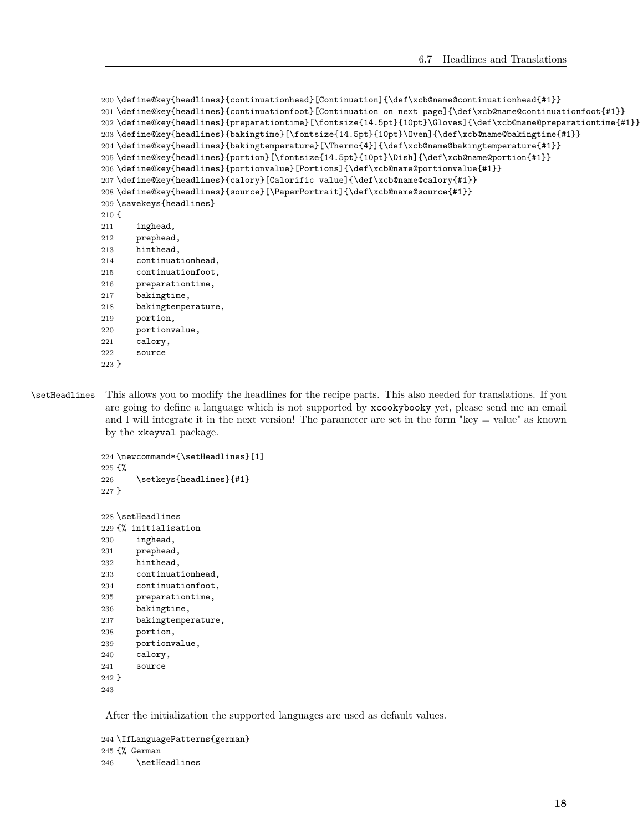```
200 \define@key{headlines}{continuationhead}[Continuation]{\def\xcb@name@continuationhead{#1}}
201 \define@key{headlines}{continuationfoot}[Continuation on next page]{\def\xcb@name@continuationfoot{#1}}
202 \define@key{headlines}{preparationtime}[\fontsize{14.5pt}{10pt}\Gloves]{\def\xcb@name@preparationtime{#1}}
203 \define@key{headlines}{bakingtime}[\fontsize{14.5pt}{10pt}\Oven]{\def\xcb@name@bakingtime{#1}}
204 \define@key{headlines}{bakingtemperature}[\Thermo{4}]{\def\xcb@name@bakingtemperature{#1}}
205 \define@key{headlines}{portion}[\fontsize{14.5pt}{10pt}\Dish]{\def\xcb@name@portion{#1}}
206 \define@key{headlines}{portionvalue}[Portions]{\def\xcb@name@portionvalue{#1}}
207 \define@key{headlines}{calory}[Calorific value]{\def\xcb@name@calory{#1}}
208 \define@key{headlines}{source}[\PaperPortrait]{\def\xcb@name@source{#1}}
209 \savekeys{headlines}
210 {
211 inghead,
212 prephead,
213 hinthead,
214 continuationhead,
215 continuationfoot,
216 preparationtime,
217 bakingtime,
218 bakingtemperature,
219 portion,
220 portionvalue,
221 calory,
222 source
223 }
```
\setHeadlines This allows you to modify the headlines for the recipe parts. This also needed for translations. If you are going to define a language which is not supported by xcookybooky yet, please send me an email and I will integrate it in the next version! The parameter are set in the form "key = value" as known by the xkeyval package.

```
224 \newcommand*{\setHeadlines}[1]
225 {%
226 \setkeys{headlines}{#1}
227 }
228 \setHeadlines
```

```
229 {% initialisation
230 inghead,
231 prephead,
232 hinthead,
233 continuationhead,
234 continuationfoot,
235 preparationtime,
236 bakingtime,
237 bakingtemperature,
238 portion,
239 portionvalue,
240 calory,
241 source
242 }
243
```
After the initialization the supported languages are used as default values.

```
244 \IfLanguagePatterns{german}
245 {% German
246 \setHeadlines
```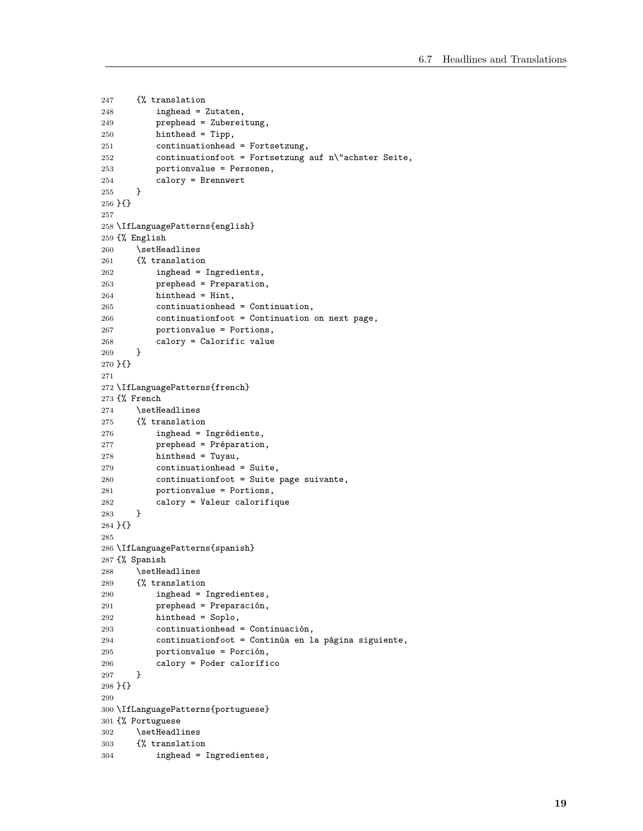```
247 {% translation
248 inghead = Zutaten,
249 prephead = Zubereitung,
250 hinthead = Tipp,
251 continuationhead = Fortsetzung,
252 continuationfoot = Fortsetzung auf n\"achster Seite,
253 portionvalue = Personen,
254 calory = Brennwert
255 }
256 }{}
257
258 \IfLanguagePatterns{english}
259 {% English
260 \setHeadlines
261 {% translation
262 inghead = Ingredients,
263 prephead = Preparation,
264 hinthead = Hint,
265 continuationhead = Continuation,
266 continuationfoot = Continuation on next page,
267 portionvalue = Portions,
268 calory = Calorific value
269 }
270 }{}
271
272 \IfLanguagePatterns{french}
273 {% French
274 \setHeadlines
275 {% translation
276 inghead = Ingrédients,
277 prephead = Préparation,
278 hinthead = Tuyau,
279 continuationhead = Suite,
280 continuationfoot = Suite page suivante,
281 portionvalue = Portions,
282 calory = Valeur calorifique<br>
283283
284 }{}
285
286 \IfLanguagePatterns{spanish}
287 {% Spanish
288 \setHeadlines
289 {% translation
290 inghead = Ingredientes,
291 prephead = Preparación,
292 hinthead = Soplo,
293 continuationhead = Continuación,
294 continuationfoot = Continúa en la página siguiente,
295 portionvalue = Porción,
296 calory = Poder calorífico
297 }
298 }{}
299
300 \IfLanguagePatterns{portuguese}
301 {% Portuguese
302 \setHeadlines
303 {% translation
304 inghead = Ingredientes,
```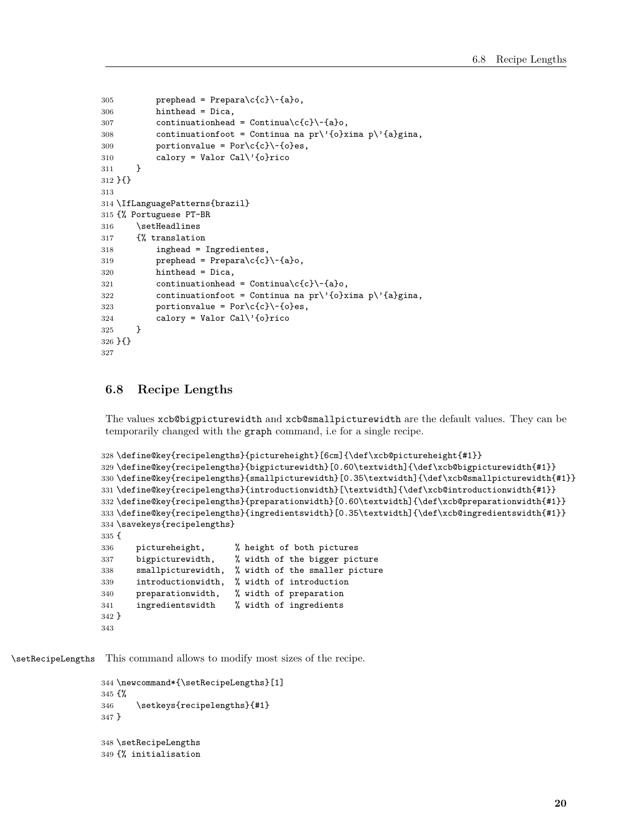```
305 prephead = Prepara\c{c}\~{a}o,
306 hinthead = Dica,
307 continuationhead = Continua\c{c} \-{a}o,
308 continuationfoot = Continua na pr\'{o}xima p\'{a}gina,
309 portionvalue = Por\c{c}\~Po<sub>r</sub> (o}es,
310 calory = Valor Cal\iota<sup>2</sup> (o}rico
311 }
312 }{}
313
314 \IfLanguagePatterns{brazil}
315 {% Portuguese PT-BR
316 \setHeadlines
317 {% translation
318 inghead = Ingredientes,
319 prephead = Prepara\c{c}\~{a}o,
320 hinthead = Dica,
321 continuationhead = Continua\c{c}{c}\c{c} a}o,
322 continuationfoot = Continua na pr\'{o}xima p\'{a}gina,
323 portionvalue = Por\c{c}\~oes,
324 calory = Valor Cal\backslash'{o}rico
325 }
326 }{}
327
```
## <span id="page-19-0"></span>**6.8 Recipe Lengths**

The values xcb@bigpicturewidth and xcb@smallpicturewidth are the default values. They can be temporarily changed with the graph command, i.e for a single recipe.

```
328 \define@key{recipelengths}{pictureheight}[6cm]{\def\xcb@pictureheight{#1}}
329 \define@key{recipelengths}{bigpicturewidth}[0.60\textwidth]{\def\xcb@bigpicturewidth{#1}}
330 \define@key{recipelengths}{smallpicturewidth}[0.35\textwidth]{\def\xcb@smallpicturewidth{#1}}
331 \define@key{recipelengths}{introductionwidth}[\textwidth]{\def\xcb@introductionwidth{#1}}
332 \define@key{recipelengths}{preparationwidth}[0.60\textwidth]{\def\xcb@preparationwidth{#1}}
333 \define@key{recipelengths}{ingredientswidth}[0.35\textwidth]{\def\xcb@ingredientswidth{#1}}
334 \savekeys{recipelengths}
335 {
336 pictureheight, % height of both pictures
337 bigpicturewidth, % width of the bigger picture
338 smallpicturewidth, % width of the smaller picture
339 introductionwidth, % width of introduction
340 preparationwidth, % width of preparation
341 ingredientswidth % width of ingredients
342 }
```

```
343
```
\setRecipeLengths This command allows to modify most sizes of the recipe.

```
344 \newcommand*{\setRecipeLengths}[1]
345 {%
346 \setkeys{recipelengths}{#1}
347 }
348 \setRecipeLengths
349 {% initialisation
```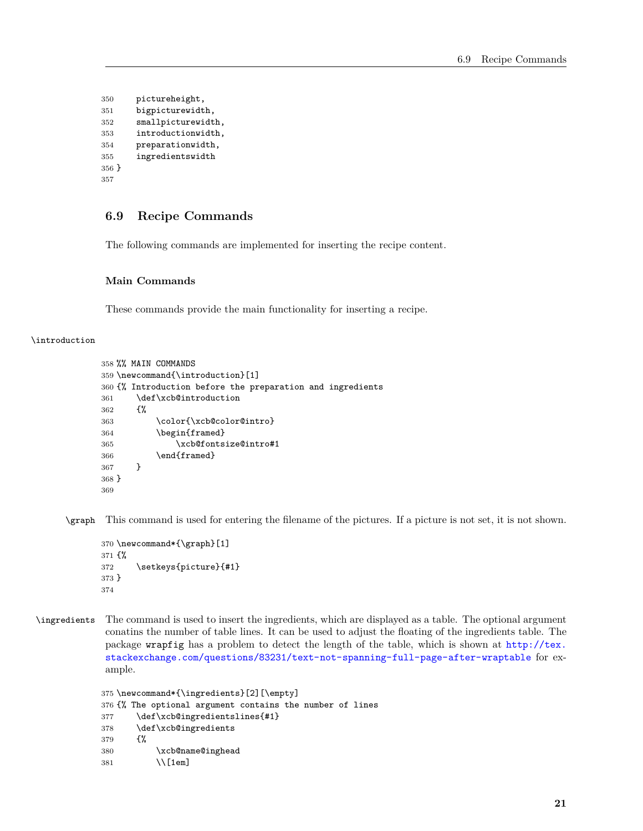```
350 pictureheight,
351 bigpicturewidth,
352 smallpicturewidth,
353 introductionwidth,
354 preparationwidth,
355 ingredientswidth
356 }
357
```
# <span id="page-20-0"></span>**6.9 Recipe Commands**

The following commands are implemented for inserting the recipe content.

#### <span id="page-20-1"></span>**Main Commands**

These commands provide the main functionality for inserting a recipe.

#### \introduction

```
358 %% MAIN COMMANDS
359 \newcommand{\introduction}[1]
360 {% Introduction before the preparation and ingredients
361 \def\xcb@introduction
362 {%
363 \color{\xcb@color@intro}
364 \begin{framed}
365 \xcb@fontsize@intro#1
366 \end{framed}
367 }
368 }
369
```
\graph This command is used for entering the filename of the pictures. If a picture is not set, it is not shown.

```
370 \newcommand*{\graph}[1]
371 {%
372 \setkeys{picture}{#1}
373 }
374
```
\ingredients The command is used to insert the ingredients, which are displayed as a table. The optional argument conatins the number of table lines. It can be used to adjust the floating of the ingredients table. The package wrapfig has a problem to detect the length of the table, which is shown at [http://tex.](http://tex.stackexchange.com/questions/83231/text-not-spanning-full-page-after-wraptable) [stackexchange.com/questions/83231/text-not-spanning-full-page-after-wraptable](http://tex.stackexchange.com/questions/83231/text-not-spanning-full-page-after-wraptable) for example.

```
375 \newcommand*{\ingredients}[2][\empty]
376 {% The optional argument contains the number of lines
377 \def\xcb@ingredientslines{#1}
378 \def\xcb@ingredients
379 {%
380 \xcb@name@inghead
381 \\[1em]
```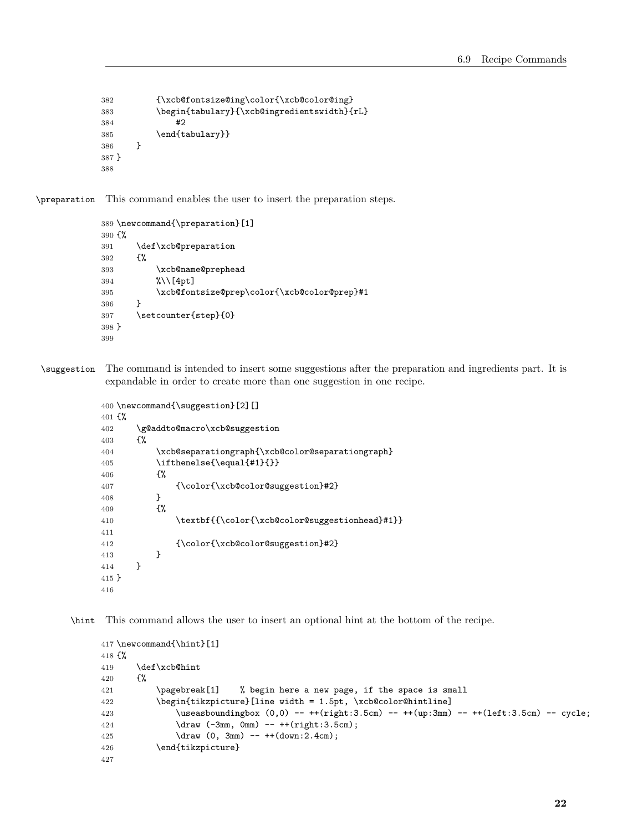```
382 {\xcb@fontsize@ing\color{\xcb@color@ing}
383 \begin{tabulary}{\xcb@ingredientswidth}{rL}
384 #2
385 \end{tabulary}}
386 }
387 }
388
```
\preparation This command enables the user to insert the preparation steps.

```
389 \newcommand{\preparation}[1]
390 {%
391 \def\xcb@preparation
392 {%
393 \xcb@name@prephead
394 %\\[4pt]
395 \xcb@fontsize@prep\color{\xcb@color@prep}#1
396 }
397 \setcounter{step}{0}
398 }
399
```
\suggestion The command is intended to insert some suggestions after the preparation and ingredients part. It is expandable in order to create more than one suggestion in one recipe.

```
400 \newcommand{\suggestion}[2][]
401 {%
402 \g@addto@macro\xcb@suggestion
403 {%
404 \xcb@separationgraph{\xcb@color@separationgraph}
405 \{ \equiv \quad \{ \equiv 41\} \}406 {%
407 {\color{\xcb@color@suggestion}#2}
408 }<br>409 {%
409
410 \textbf{{\color{\xcb@color@suggestionhead}#1}}
411
412 {\cdot{\xcb@color{\csc{suggestion}}}#2}413 }<br>414 }
414 }
415 }
416
```
\hint This command allows the user to insert an optional hint at the bottom of the recipe.

```
417 \newcommand{\hint}[1]
418 {%
419 \def\xcb@hint
420 \{ \%421 \pagebreak[1] % begin here a new page, if the space is small
422 \begin{tikzpicture}[line width = 1.5pt, \xcb@color@hintline]
423 \useasboundingbox (0,0) -- ++(right:3.5cm) -- ++(up:3mm) -- ++(left:3.5cm) -- cycle;
424 \ddot{c} \ddot{c} \ddot{c} \ddot{c} \ddot{c} \ddot{c} \ddot{c} \ddot{c} \ddot{c} \ddot{c} \ddot{c} \ddot{c} \ddot{c} \ddot{c} \ddot{c} \ddot{c} \ddot{c} \ddot{c} \ddot{c} \ddot{c} \ddot{c} \ddot{c} \ddot{c} \ddot{c}425 \d (0, 3mm) -- ++(down:2.4cm);
426 \end{tikzpicture}
427
```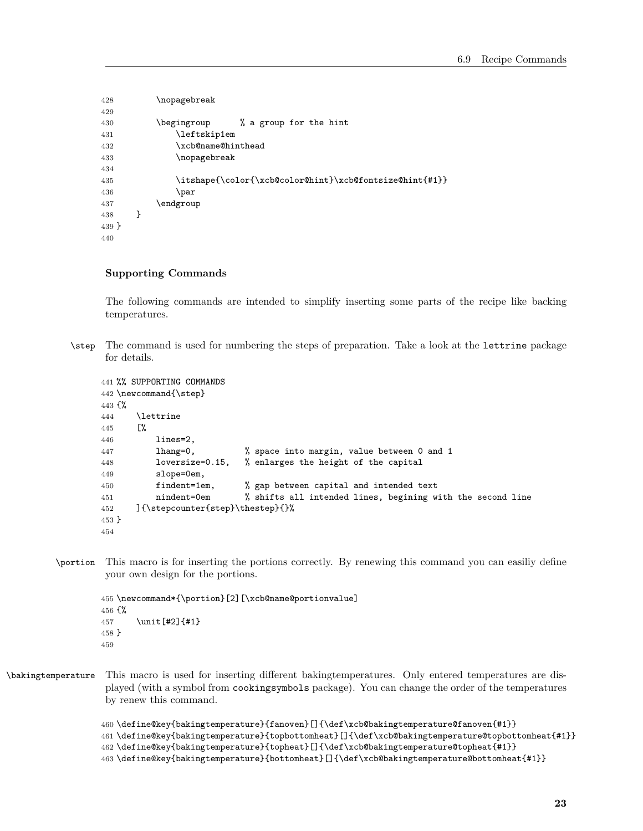```
428 \nopagebreak
429
430 \begingroup % a group for the hint
431 \leftskip1em
432 \xcb@name@hinthead
433 \nopagebreak
434
435 \itshape{\color{\xcb@color@hint}\xcb@fontsize@hint{#1}}
436 \par
437 \endgroup
438 }
439 }
440
```
#### <span id="page-22-0"></span>**Supporting Commands**

The following commands are intended to simplify inserting some parts of the recipe like backing temperatures.

\step The command is used for numbering the steps of preparation. Take a look at the lettrine package for details.

```
441 %% SUPPORTING COMMANDS
442 \newcommand{\step}
443 {%
444 \lambda lettrine<br>445 \lambda445446 lines=2,
447 lhang=0, % space into margin, value between 0 and 1
448 loversize=0.15, % enlarges the height of the capital
449 slope=0em,
450 findent=1em, % gap between capital and intended text
451 nindent=0em % shifts all intended lines, begining with the second line
452 ]{\stepcounter{step}\thestep}{}%
453 }
454
```
\portion This macro is for inserting the portions correctly. By renewing this command you can easiliy define your own design for the portions.

```
455 \newcommand*{\portion}[2][\xcb@name@portionvalue]
456 {%
457 \unit[#2]{#1}
458 }
459
```
\bakingtemperature This macro is used for inserting different bakingtemperatures. Only entered temperatures are displayed (with a symbol from cookingsymbols package). You can change the order of the temperatures by renew this command.

```
460 \define@key{bakingtemperature}{fanoven}[]{\def\xcb@bakingtemperature@fanoven{#1}}
461 \define@key{bakingtemperature}{topbottomheat}[]{\def\xcb@bakingtemperature@topbottomheat{#1}}
462 \define@key{bakingtemperature}{topheat}[]{\def\xcb@bakingtemperature@topheat{#1}}
463 \define@key{bakingtemperature}{bottomheat}[]{\def\xcb@bakingtemperature@bottomheat{#1}}
```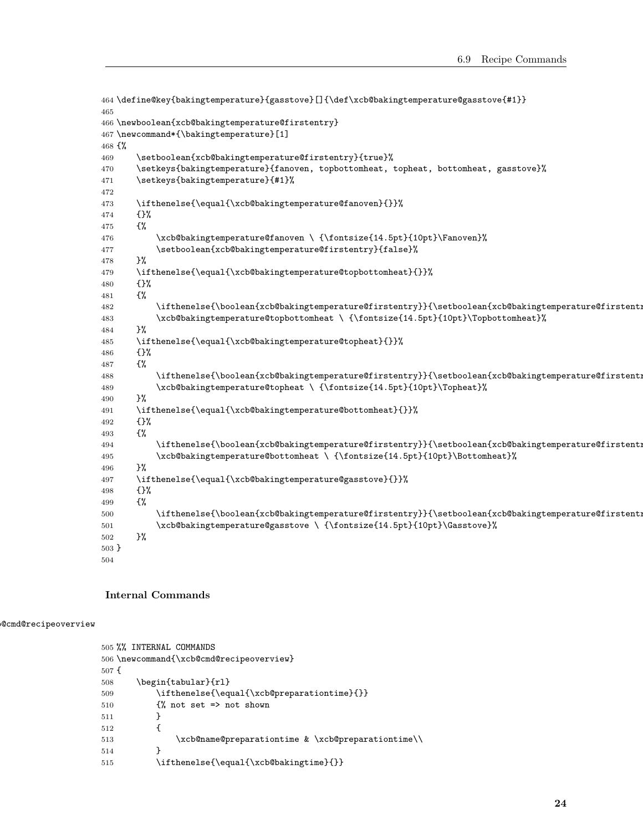```
464 \define@key{bakingtemperature}{gasstove}[]{\def\xcb@bakingtemperature@gasstove{#1}}
465
466 \newboolean{xcb@bakingtemperature@firstentry}
467 \newcommand*{\bakingtemperature}[1]
468 {%
469 \setboolean{xcb@bakingtemperature@firstentry}{true}%
470 \setkeys{bakingtemperature}{fanoven, topbottomheat, topheat, bottomheat, gasstove}%
471 \setkeys{bakingtemperature}{#1}%
472
473 \ifthenelse{\equal{\xcb@bakingtemperature@fanoven}{}}%
474 {}%
475 {%
476 \xcb@bakingtemperature@fanoven \ {\fontsize{14.5pt}{10pt}\Fanoven}%
477 \setboolean{xcb@bakingtemperature@firstentry}{false}%
478 }%
479 \ifthenelse{\equal{\xcb@bakingtemperature@topbottomheat}{}}%
480 {}%
481 {%
482 \ifthenelse{\boolean{xcb@bakingtemperature@firstentry}}{\setboolean{xcb@bakingtemperature@firstentry}{false}}{, }%
483 \xcb@bakingtemperature@topbottomheat \ {\fontsize{14.5pt}{10pt}\Topbottomheat}%
484 }%
485 \ifthenelse{\equal{\xcb@bakingtemperature@topheat}{}}%
486 {}%
487 {%
488 \ifthenelse{\boolean{xcb@bakingtemperature@firstentry}}{\setboolean{xcb@bakingtemperature@firstent:
489 \xcb@bakingtemperature@topheat \ {\fontsize{14.5pt}{10pt}\Topheat}%
490 }%
491 \ifthenelse{\equal{\xcb@bakingtemperature@bottomheat}{}}%
492 {}%
493 {%
494 \ifthenelse{\boolean{xcb@bakingtemperature@firstentry}}{\setboolean{xcb@bakingtemperature@firstentry}{false}}{, }%
495 \xcb@bakingtemperature@bottomheat \ {\fontsize{14.5pt}{10pt}\Bottomheat}%
496 }%
497 \ifthenelse{\equal{\xcb@bakingtemperature@gasstove}{}}%
498 {}%
499 {%
500 \ifthenelse{\boolean{xcb@bakingtemperature@firstentry}}{\setboolean{xcb@bakingtemperature@firstenti
501 \xcb@bakingtemperature@gasstove \ {\fontsize{14.5pt}{10pt}\Gasstove}%
502 }%
503 }
504
```
#### <span id="page-23-0"></span>**Internal Commands**

#### \xcb@cmd@recipeoverview

```
505 %% INTERNAL COMMANDS
506 \newcommand{\xcb@cmd@recipeoverview}
507 {
508 \begin{tabular}{rl}
509 \ifthenelse{\equal{\xcb@preparationtime}{}}
510 \{\} not set => not shown
511 }
512 {
513 \xcb@name@preparationtime & \xcb@preparationtime\\
514 }
515 \ifthenelse{\equal{\xcb@bakingtime}{}}
```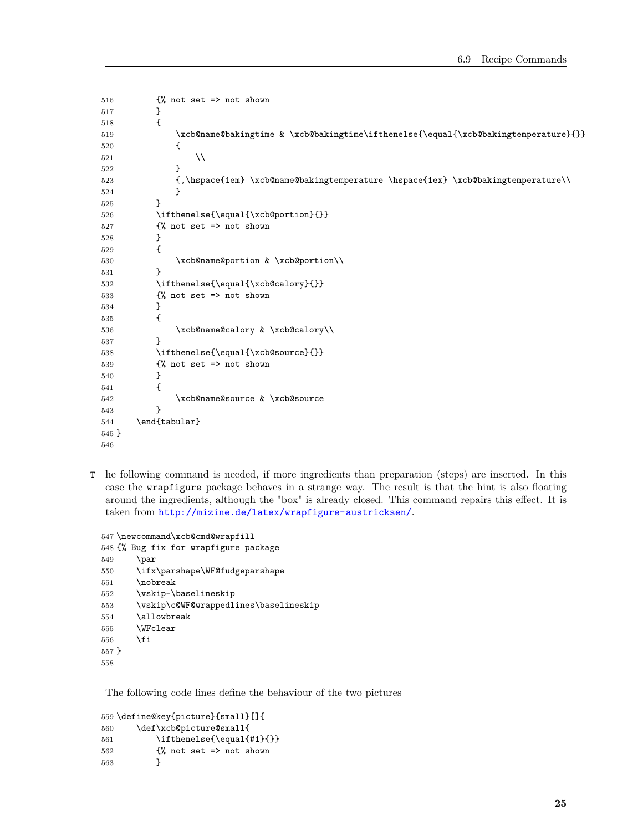```
516 \frac{1}{6} not set => not shown
517 }
518 {
519 \xcb@name@bakingtime & \xcb@bakingtime\ifthenelse{\equal{\xcb@bakingtemperature}{}}
520 {
521 \quad \lambda522 }
523 {,\hspace{1em} \xcb@name@bakingtemperature \hspace{1ex} \xcb@bakingtemperature\\
524 }
525 }
526 \ifthenelse{\equal{\xcb@portion}{}}
527 {% not set => not shown
528 }
529 {
530 \xcb@name@portion & \xcb@portion\\
531 }
532 \ifthenelse{\equal{\xcb@calory}{}}
533 \{\% \text{ not set} =\text{> not shown}\}534 }
535 {
536 \xcb@name@calory & \xcb@calory\\
537 }
538 \ifthenelse{\equal{\xcb@source}{}}
539 \{\% not set => not shown
540 }
541 {
542 \xcb@name@source & \xcb@source
543 }
544 \end{tabular}
545 }
546
```
T he following command is needed, if more ingredients than preparation (steps) are inserted. In this case the wrapfigure package behaves in a strange way. The result is that the hint is also floating around the ingredients, although the "box" is already closed. This command repairs this effect. It is taken from <http://mizine.de/latex/wrapfigure-austricksen/>.

```
547 \newcommand\xcb@cmd@wrapfill
548 {% Bug fix for wrapfigure package
549 \par
550 \ifx\parshape\WF@fudgeparshape
551 \nobreak
552 \varkappaip-\baselineskip553 \vskip\c@WF@wrappedlines\baselineskip
554 \allowbreak
555 \WFclear
556 \fi
557 }
558
```
The following code lines define the behaviour of the two pictures

```
559 \define@key{picture}{small}[]{
560 \def\xcb@picture@small{
561 \ifthenelse{\equal{#1}{}}
562 \{\% \text{ not set} =\text{> not shown}\}563 }
```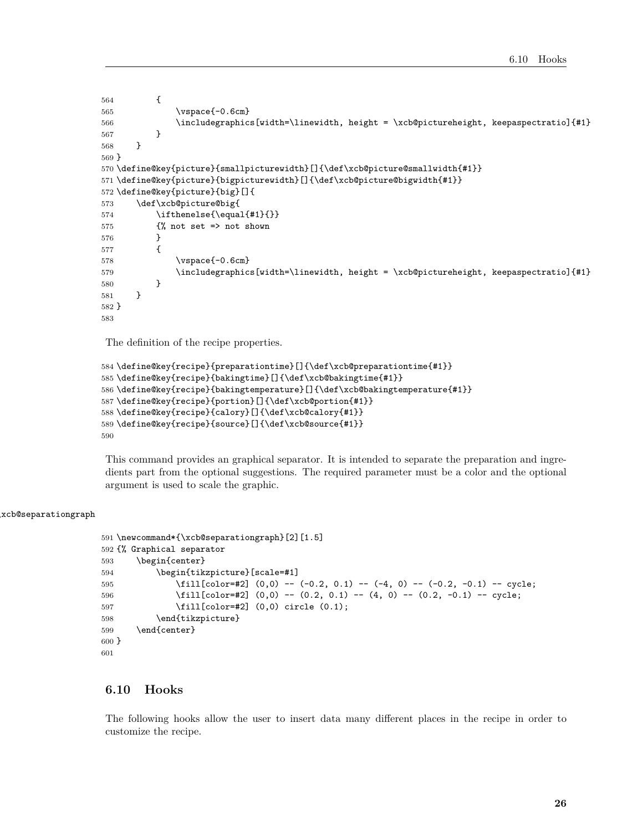```
564 {
565 \vspace{-0.6cm}
566 \includegraphics[width=\linewidth, height = \xcb@pictureheight, keepaspectratio]{#1}
567 }
568 }
569 }
570 \define@key{picture}{smallpicturewidth}[]{\def\xcb@picture@smallwidth{#1}}
571 \define@key{picture}{bigpicturewidth}[]{\def\xcb@picture@bigwidth{#1}}
572 \define@key{picture}{big}[]{
573 \def\xcb@picture@big{
574 \ifthenelse{\eq{4}1}{1}575 \{ \text{\% not set =} \text{ not shown} \}576 }
577 {
578 \vspace{-0.6cm}
579 \includegraphics[width=\linewidth, height = \xcb@pictureheight, keepaspectratio]{#1}
580 }
581 }
582 }
583
```
The definition of the recipe properties.

```
584 \define@key{recipe}{preparationtime}[]{\def\xcb@preparationtime{#1}}
585 \define@key{recipe}{bakingtime}[]{\def\xcb@bakingtime{#1}}
586 \define@key{recipe}{bakingtemperature}[]{\def\xcb@bakingtemperature{#1}}
587 \define@key{recipe}{portion}[]{\def\xcb@portion{#1}}
588 \define@key{recipe}{calory}[]{\def\xcb@calory{#1}}
589 \define@key{recipe}{source}[]{\def\xcb@source{#1}}
590
```
This command provides an graphical separator. It is intended to separate the preparation and ingredients part from the optional suggestions. The required parameter must be a color and the optional argument is used to scale the graphic.

#### \xcb@separationgraph

```
591 \newcommand*{\xcb@separationgraph}[2][1.5]
592 {% Graphical separator
593 \begin{center}
594 \begin{tikzpicture}[scale=#1]
595 \fill[color=#2] (0,0) -- (-0.2, 0.1) -- (-4, 0) -- (-0.2, -0.1) -- cycle;
596 \fill[color=#2] (0,0) -- (0.2, 0.1) -- (4, 0) -- (0.2, -0.1) -- cycle;
597 \fill[color=#2] (0,0) circle (0.1);
598 \end{tikzpicture}
599 \end{center}
600 }
601
```
#### <span id="page-25-0"></span>**6.10 Hooks**

The following hooks allow the user to insert data many different places in the recipe in order to customize the recipe.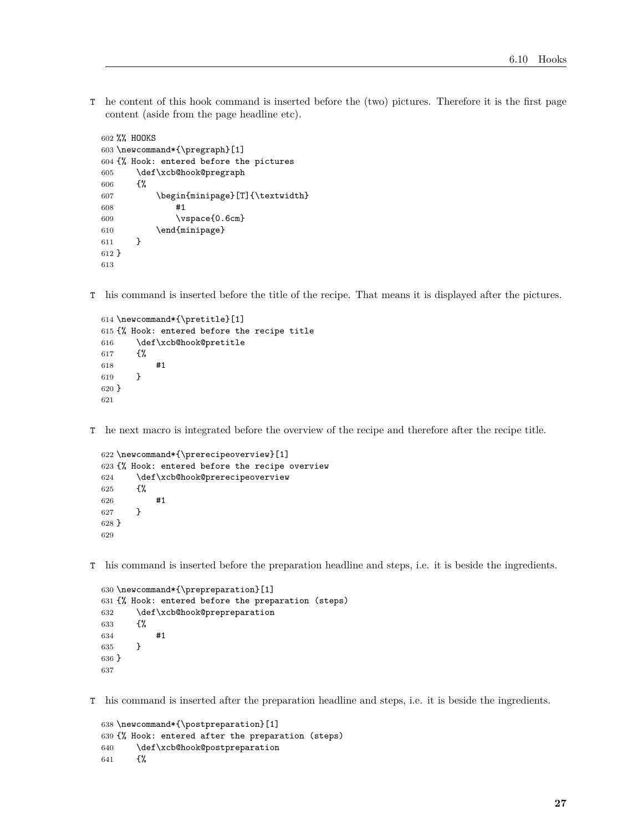T he content of this hook command is inserted before the (two) pictures. Therefore it is the first page content (aside from the page headline etc).

```
602 %% HOOKS
603 \newcommand*{\pregraph}[1]
604 {% Hook: entered before the pictures
605 \def\xcb@hook@pregraph
606 {%
607 \begin{minipage}[T]{\textwidth}
608 #1
609 \vspace{0.6cm}
610 \end{minipage}
611 }
612 }
613
```
T his command is inserted before the title of the recipe. That means it is displayed after the pictures.

```
614 \newcommand*{\pretitle}[1]
615 {% Hook: entered before the recipe title
616 \def\xcb@hook@pretitle
617 {%
618 #1
619 }
620 }
621
```
T he next macro is integrated before the overview of the recipe and therefore after the recipe title.

```
622 \newcommand*{\prerecipeoverview}[1]
623 {% Hook: entered before the recipe overview
624 \def\xcb@hook@prerecipeoverview
625 {%
626 #1
627 }
628 }
629
```
T his command is inserted before the preparation headline and steps, i.e. it is beside the ingredients.

```
630 \newcommand*{\prepreparation}[1]
631 {% Hook: entered before the preparation (steps)
632 \def\xcb@hook@prepreparation
633 {%
634 #1
635 }
636 }
637
```
T his command is inserted after the preparation headline and steps, i.e. it is beside the ingredients.

```
638 \newcommand*{\postpreparation}[1]
639 {% Hook: entered after the preparation (steps)
640 \def\xcb@hook@postpreparation
641 {%
```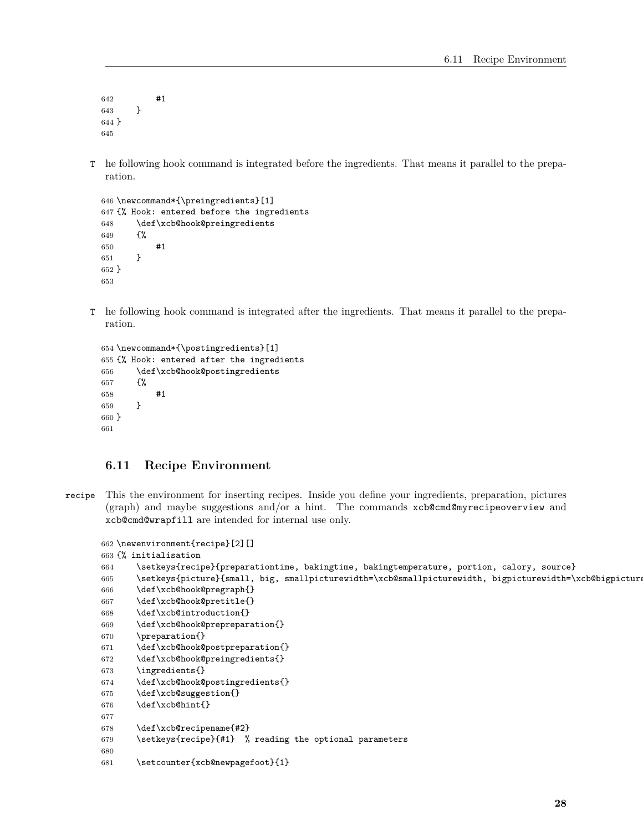#1 } } 

T he following hook command is integrated before the ingredients. That means it parallel to the preparation.

```
646 \newcommand*{\preingredients}[1]
647 {% Hook: entered before the ingredients
648 \def\xcb@hook@preingredients
649 {%
650 #1
651 }
652 }
653
```
T he following hook command is integrated after the ingredients. That means it parallel to the preparation.

```
654 \newcommand*{\postingredients}[1]
655 {% Hook: entered after the ingredients
656 \def\xcb@hook@postingredients
657 {%
658 #1
659 }
660 }
661
```
#### <span id="page-27-0"></span>**6.11 Recipe Environment**

recipe This the environment for inserting recipes. Inside you define your ingredients, preparation, pictures (graph) and maybe suggestions and/or a hint. The commands xcb@cmd@myrecipeoverview and xcb@cmd@wrapfill are intended for internal use only.

```
662 \newenvironment{recipe}[2][]
663 {% initialisation
664 \setkeys{recipe}{preparationtime, bakingtime, bakingtemperature, portion, calory, source}
665 \setkeys{picture}{small, big, smallpicturewidth=\xcb@smallpicturewidth, bigpicturewidth=\xcb@bigpicture
666 \def\xcb@hook@pregraph{}
667 \def\xcb@hook@pretitle{}
668 \def\xcb@introduction{}
669 \def\xcb@hook@prepreparation{}
670 \preparation{}
671 \def\xcb@hook@postpreparation{}
672 \def\xcb@hook@preingredients{}
673 \ingredients{}
674 \def\xcb@hook@postingredients{}
675 \def\xcb@suggestion{}
676 \def\xcb@hint{}
677
678 \def\xcb@recipename{#2}
679 \setkeys{recipe}{#1} % reading the optional parameters
680
681 \setcounter{xcb@newpagefoot}{1}
```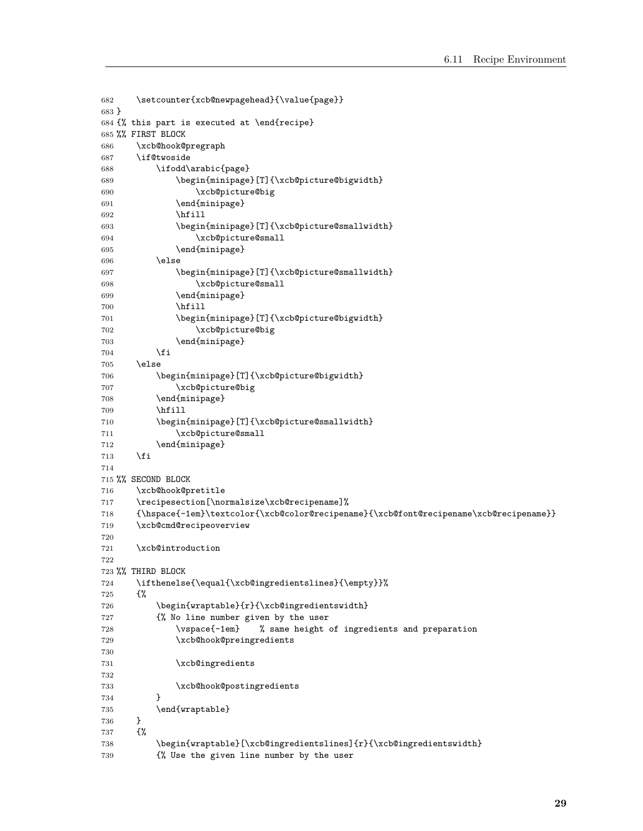```
682 \setcounter{xcb@newpagehead}{\value{page}}
683 }
684 {% this part is executed at \end{recipe}
685 %% FIRST BLOCK
686 \xcb@hook@pregraph
687 \if@twoside
688 \ifodd\arabic{page}
689 \begin{minipage}[T]{\xcb@picture@bigwidth}
690 \xcb@picture@big
691 \end{minipage}
692 \hfill
693 \begin{minipage}[T]{\xcb@picture@smallwidth}
694 \xcb@picture@small
695 \end{minipage}
696 \else
697 \begin{minipage}[T]{\xcb@picture@smallwidth}
698 \xcb@picture@small
699 \end{minipage}
700 \hfill
701 \begin{minipage}[T]{\xcb@picture@bigwidth}
702 \xcb@picture@big
703 \end{minipage}
704 \fi
705 \else
706 \begin{minipage}[T]{\xcb@picture@bigwidth}
707 \xcb@picture@big
708 \end{minipage}
709 \hfill
710 \begin{minipage}[T]{\xcb@picture@smallwidth}
711 \xcb@picture@small
712 \end{minipage}
713 \forallfi
714
715 %% SECOND BLOCK
716 \xcb@hook@pretitle
717 \recipesection[\normalsize\xcb@recipename]%
718 {\hspace{-1em}\textcolor{\xcb@color@recipename}{\xcb@font@recipename\xcb@recipename}}
719 \xcb@cmd@recipeoverview
720
721 \xcb@introduction
722
723 %% THIRD BLOCK
724 \ifthenelse{\equal{\xcb@ingredientslines}{\empty}}%
725 {%
726 \begin{wraptable}{r}{\xcb@ingredientswidth}
727 {% No line number given by the user
728 \vspace{-1em} % same height of ingredients and preparation
729 \xcb@hook@preingredients
730
731 \xcb@ingredients
732
733 \xcb@hook@postingredients
734 }
735 \end{wraptable}<br>736 }
736 }
737 {%
738 \begin{wraptable}[\xcb@ingredientslines]{r}{\xcb@ingredientswidth}
739 {% Use the given line number by the user
```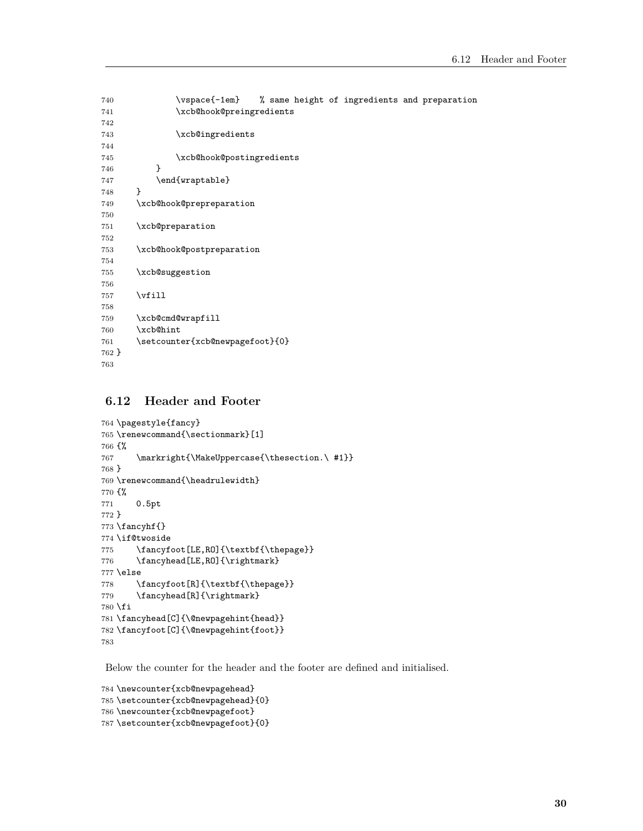```
740 \vspace{-1em} % same height of ingredients and preparation
741 \xcb@hook@preingredients
742
743 \xcb@ingredients
744
745 \xcb@hook@postingredients
746 }
747 \end{wraptable}
748 }
749 \xcb@hook@prepreparation
750
751 \xcb@preparation
752
753 \xcb@hook@postpreparation
754
755 \xcb@suggestion
756
757 \forallfill
758
759 \xcb@cmd@wrapfill
760 \xcb@hint
761 \setcounter{xcb@newpagefoot}{0}
762 }
763
```
# <span id="page-29-0"></span>**6.12 Header and Footer**

```
764 \pagestyle{fancy}
765 \renewcommand{\sectionmark}[1]
766 {%
767 \markright{\MakeUppercase{\thesection.\ #1}}
768 }
769 \renewcommand{\headrulewidth}
770 {%
771 0.5pt
772 }
773 \fancyhf{}
774 \if@twoside
775 \fancyfoot[LE,RO]{\textbf{\thepage}}
776 \fancyhead[LE,RO]{\rightmark}
777 \else
778 \fancyfoot[R]{\textbf{\thepage}}
779 \fancyhead[R]{\rightmark}
780 \fi
781 \fancyhead[C]{\@newpagehint{head}}
782 \fancyfoot[C]{\@newpagehint{foot}}
783
```
Below the counter for the header and the footer are defined and initialised.

```
784 \newcounter{xcb@newpagehead}
785 \setcounter{xcb@newpagehead}{0}
786 \newcounter{xcb@newpagefoot}
787 \setcounter{xcb@newpagefoot}{0}
```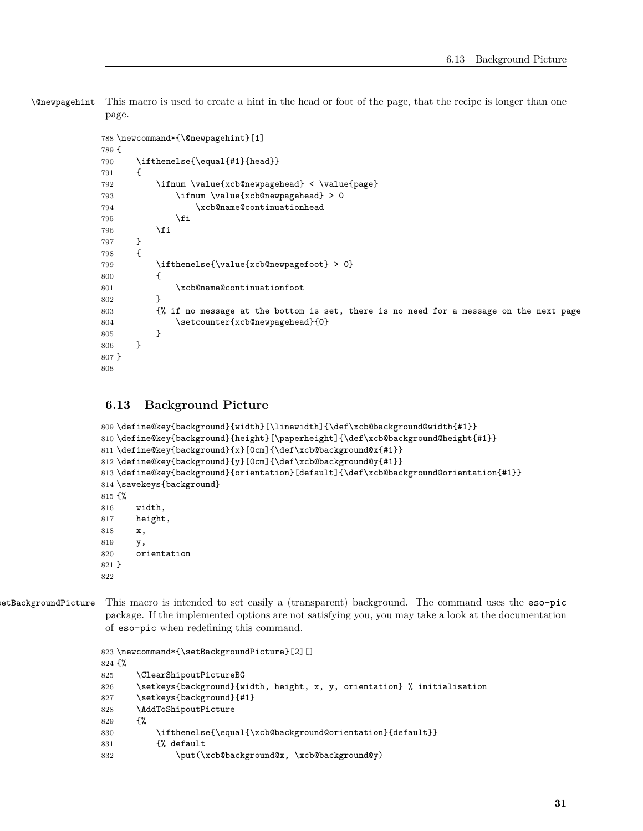\@newpagehint This macro is used to create a hint in the head or foot of the page, that the recipe is longer than one page.

```
788 \newcommand*{\@newpagehint}[1]
789 {
790 \ifthenelse{\equal{#1}{head}}
791 {
792 \ifnum \value{xcb@newpagehead} < \value{page}
793 \ifnum \value{xcb@newpagehead} > 0
794 \xcb@name@continuationhead
795 \fi
796 \overline{f}797 }
798 {
799 \ifthenelse{\value{xcb@newpagefoot} > 0}
800 {
801 \xcb@name@continuationfoot
802 }
803 {% if no message at the bottom is set, there is no need for a message on the next page
804 \setcounter{xcb@newpagehead}{0}
805 }
806 }
807 }
808
```
## <span id="page-30-0"></span>**6.13 Background Picture**

```
809 \define@key{background}{width}[\linewidth]{\def\xcb@background@width{#1}}
810 \define@key{background}{height}[\paperheight]{\def\xcb@background@height{#1}}
811 \define@key{background}{x}[0cm]{\def\xcb@background@x{#1}}
812 \define@key{background}{y}[0cm]{\def\xcb@background@y{#1}}
813 \define@key{background}{orientation}[default]{\def\xcb@background@orientation{#1}}
814 \savekeys{background}
815 {%
816 width,
817 height,
818 x,
819 y,
820 orientation
821 }
822
```
etBackgroundPicture This macro is intended to set easily a (transparent) background. The command uses the eso-pic package. If the implemented options are not satisfying you, you may take a look at the documentation of eso-pic when redefining this command.

```
823 \newcommand*{\setBackgroundPicture}[2][]
824 {%
825 \ClearShipoutPictureBG
826 \setkeys{background}{width, height, x, y, orientation} % initialisation
827 \setkeys{background}{#1}
828 \AddToShipoutPicture
829 {%
830 \ifthenelse{\equal{\xcb@background@orientation}{default}}
831 {% default
832 \put(\xcb@background@x, \xcb@background@y)
```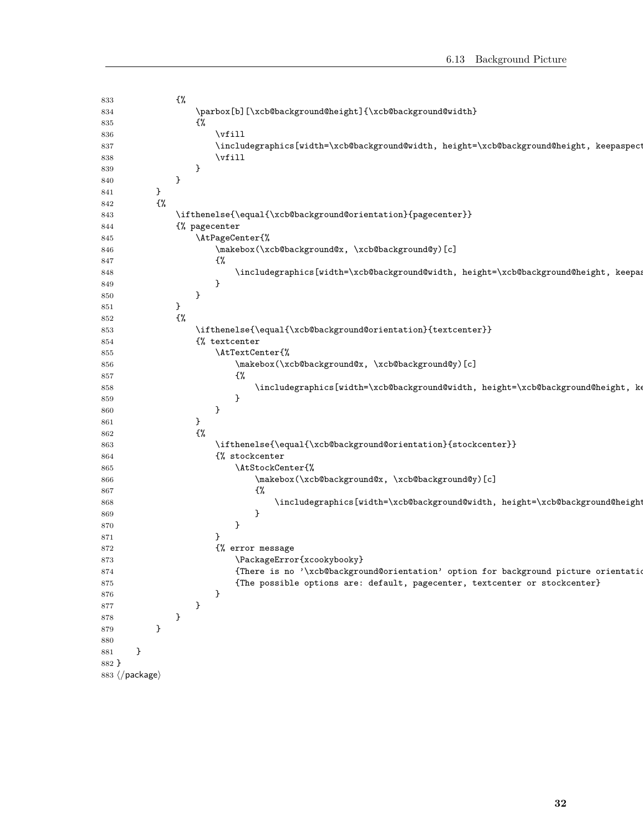| 833   |                                  | ₹%            |                                                                                         |
|-------|----------------------------------|---------------|-----------------------------------------------------------------------------------------|
| 834   |                                  |               | \parbox[b][\xcb@background@height]{\xcb@background@width}                               |
| 835   |                                  |               | - {%                                                                                    |
|       |                                  |               | $\forall$ ill                                                                           |
| 836   |                                  |               |                                                                                         |
| 837   |                                  |               | \includegraphics[width=\xcb@background@width, height=\xcb@background@height, keepaspect |
| 838   |                                  |               | $\forall$ ill                                                                           |
| 839   |                                  |               | }                                                                                       |
| 840   |                                  | }             |                                                                                         |
| 841   | }                                |               |                                                                                         |
| 842   | ₹%                               |               |                                                                                         |
| 843   |                                  |               | \ifthenelse{\equal{\xcb@background@orientation}{pagecenter}}                            |
| 844   |                                  |               | {% pagecenter                                                                           |
| 845   |                                  |               | \AtPageCenter{%                                                                         |
| 846   |                                  |               | \makebox(\xcb@background@x, \xcb@background@y)[c]                                       |
| 847   |                                  |               | -ር%                                                                                     |
| 848   |                                  |               | \includegraphics[width=\xcb@background@width, height=\xcb@background@height, keepas     |
| 849   |                                  |               | }                                                                                       |
| 850   |                                  |               | }                                                                                       |
| 851   |                                  | }             |                                                                                         |
| 852   |                                  | $\frac{1}{2}$ |                                                                                         |
| 853   |                                  |               | \ifthenelse{\equal{\xcb@background@orientation}{textcenter}}                            |
| 854   |                                  |               | {% textcenter                                                                           |
| 855   |                                  |               | \AtTextCenter{%                                                                         |
| 856   |                                  |               | \makebox(\xcb@background@x, \xcb@background@y)[c]                                       |
| 857   |                                  |               | {%                                                                                      |
| 858   |                                  |               | \includegraphics[width=\xcb@background@width, height=\xcb@background@height, ke         |
| 859   |                                  |               | }                                                                                       |
| 860   |                                  |               | }                                                                                       |
| 861   |                                  |               | }                                                                                       |
| 862   |                                  |               | {%                                                                                      |
|       |                                  |               | \ifthenelse{\equal{\xcb@background@orientation}{stockcenter}}                           |
| 863   |                                  |               | {% stockcenter                                                                          |
| 864   |                                  |               | \AtStockCenter{%                                                                        |
| 865   |                                  |               |                                                                                         |
| 866   |                                  |               | \makebox(\xcb@background@x, \xcb@background@y)[c]                                       |
| 867   |                                  |               | €%                                                                                      |
| 868   |                                  |               | \includegraphics[width=\xcb@background@width, height=\xcb@background@height             |
| 869   |                                  |               | }                                                                                       |
| 870   |                                  |               | }                                                                                       |
| 871   |                                  |               | }                                                                                       |
| 872   |                                  |               | {% error message                                                                        |
| 873   |                                  |               | \PackageError{xcookybooky}                                                              |
| 874   |                                  |               | {There is no '\xcb@background@orientation' option for background picture orientation    |
| 875   |                                  |               | {The possible options are: default, pagecenter, textcenter or stockcenter}              |
| 876   |                                  |               | }                                                                                       |
| 877   |                                  |               | }                                                                                       |
| 878   |                                  | }             |                                                                                         |
| 879   | }                                |               |                                                                                         |
| 880   |                                  |               |                                                                                         |
| 881   | }                                |               |                                                                                         |
| 882 } |                                  |               |                                                                                         |
|       | 883 $\langle$ /package $\rangle$ |               |                                                                                         |
|       |                                  |               |                                                                                         |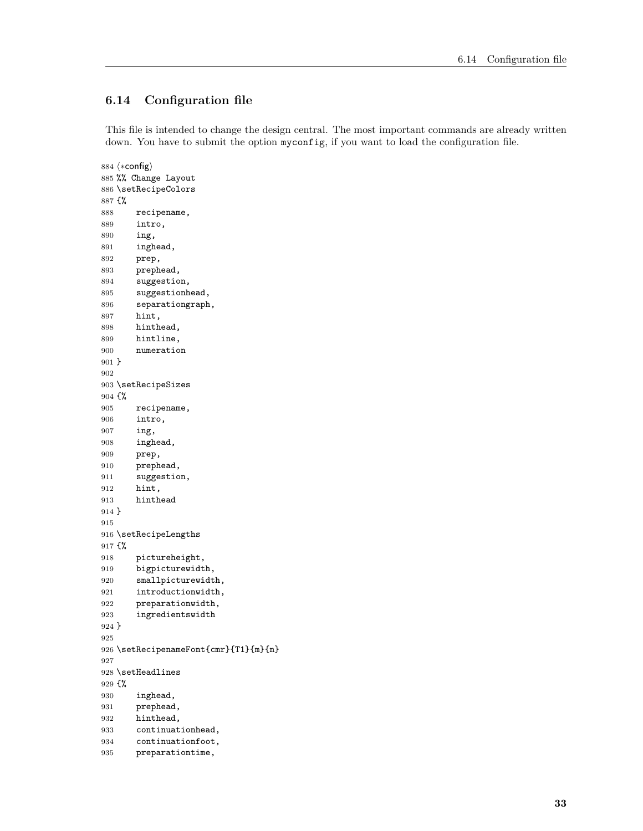# <span id="page-32-0"></span>**6.14 Configuration file**

This file is intended to change the design central. The most important commands are already written down. You have to submit the option myconfig, if you want to load the configuration file.

884  $\langle *config \rangle$  %% Change Layout \setRecipeColors {% recipename, intro, ing, inghead, prep, prephead, suggestion, suggestionhead, separationgraph, hint, hinthead, hintline, numeration } \setRecipeSizes {% recipename, intro, ing, inghead, prep, prephead, 911 suggestion, hint, hinthead } \setRecipeLengths {% pictureheight, bigpicturewidth, 920 smallpicturewidth, introductionwidth, preparationwidth, ingredientswidth } \setRecipenameFont{cmr}{T1}{m}{n} \setHeadlines {% inghead, prephead, hinthead, continuationhead, continuationfoot, preparationtime,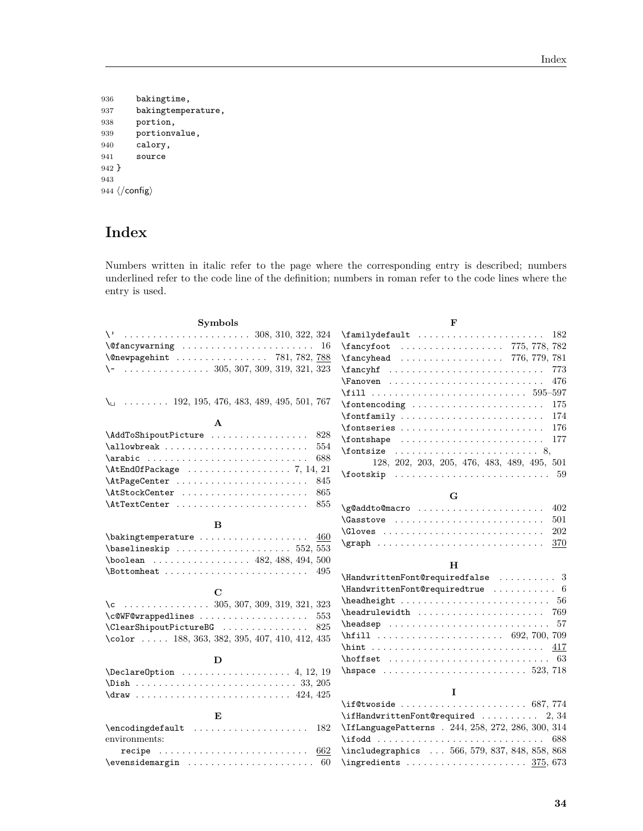```
936 bakingtime,
937 bakingtemperature,
938 portion,
939 portionvalue,
940 calory,<br>941 source
       source
942 }
943
944 \langle/config)
```
# **Index**

Numbers written in italic refer to the page where the corresponding entry is described; numbers underlined refer to the code line of the definition; numbers in roman refer to the code lines where the entry is used.

| <b>Symbols</b>                                                              | F                                                                                                                              |  |  |  |  |  |  |  |  |  |
|-----------------------------------------------------------------------------|--------------------------------------------------------------------------------------------------------------------------------|--|--|--|--|--|--|--|--|--|
|                                                                             | \familydefault<br>-182                                                                                                         |  |  |  |  |  |  |  |  |  |
| \@fancywarning<br>16                                                        | \fancyfoot  775, 778, 782                                                                                                      |  |  |  |  |  |  |  |  |  |
| \@newpagehint  781, 782, 788                                                | \fancyhead  776, 779, 781                                                                                                      |  |  |  |  |  |  |  |  |  |
| $\setminus$ 305, 307, 309, 319, 321, 323                                    | $\{\text{ancyhf} \dots \dots \dots \dots \dots \dots \dots$<br>773                                                             |  |  |  |  |  |  |  |  |  |
|                                                                             | 476                                                                                                                            |  |  |  |  |  |  |  |  |  |
|                                                                             | \fill  595-597                                                                                                                 |  |  |  |  |  |  |  |  |  |
| $\setminus$ 192, 195, 476, 483, 489, 495, 501, 767                          | 175                                                                                                                            |  |  |  |  |  |  |  |  |  |
|                                                                             | 174                                                                                                                            |  |  |  |  |  |  |  |  |  |
| A                                                                           | $\verb \fontseries   \dots   \dots   \dots   \dots 176$                                                                        |  |  |  |  |  |  |  |  |  |
| \AddToShipoutPicture  828                                                   | $\{\text{fontshape} \dots \dots \dots \dots \dots \dots \ 177\}$                                                               |  |  |  |  |  |  |  |  |  |
| $\alpha$<br>554                                                             | $\mathcal{S},$ $\mathcal{S},$                                                                                                  |  |  |  |  |  |  |  |  |  |
| $\arabic      $<br>688                                                      | 128, 202, 203, 205, 476, 483, 489, 495, 501                                                                                    |  |  |  |  |  |  |  |  |  |
|                                                                             |                                                                                                                                |  |  |  |  |  |  |  |  |  |
| \AtPageCenter<br>845                                                        |                                                                                                                                |  |  |  |  |  |  |  |  |  |
| \AtStockCenter<br>865<br>855                                                | G                                                                                                                              |  |  |  |  |  |  |  |  |  |
| \AtTextCenter                                                               | \g@addto@macro<br>402                                                                                                          |  |  |  |  |  |  |  |  |  |
| B                                                                           | Gasstove<br>501                                                                                                                |  |  |  |  |  |  |  |  |  |
| 460                                                                         | 202                                                                                                                            |  |  |  |  |  |  |  |  |  |
| $\verb+\baselineskip + \verb+\+  + \verb+\+ 552+, 553$                      | $\qquad \qquad \text{graph} \quad \ldots \quad \ldots \quad \ldots \quad \ldots \quad \ldots \quad \ldots \quad \ldots$<br>370 |  |  |  |  |  |  |  |  |  |
| $\lambda$ boolean  482, 488, 494, 500                                       |                                                                                                                                |  |  |  |  |  |  |  |  |  |
| 495                                                                         | н                                                                                                                              |  |  |  |  |  |  |  |  |  |
|                                                                             |                                                                                                                                |  |  |  |  |  |  |  |  |  |
| С                                                                           |                                                                                                                                |  |  |  |  |  |  |  |  |  |
| $\{c \dots \dots \dots \dots \dots \quad 305, 307, 309, 319, 321, 323\}$    |                                                                                                                                |  |  |  |  |  |  |  |  |  |
| \c@WF@wrappedlines<br>553                                                   |                                                                                                                                |  |  |  |  |  |  |  |  |  |
| \ClearShipoutPictureBG<br>825                                               |                                                                                                                                |  |  |  |  |  |  |  |  |  |
| \color  188, 363, 382, 395, 407, 410, 412, 435                              |                                                                                                                                |  |  |  |  |  |  |  |  |  |
|                                                                             | $\hbox{hint} \dots \dots \dots \dots \dots \dots \dots \dots \qquad 417$                                                       |  |  |  |  |  |  |  |  |  |
| D                                                                           |                                                                                                                                |  |  |  |  |  |  |  |  |  |
|                                                                             |                                                                                                                                |  |  |  |  |  |  |  |  |  |
|                                                                             | I                                                                                                                              |  |  |  |  |  |  |  |  |  |
|                                                                             | $\iint$ Ctwoside  687, 774                                                                                                     |  |  |  |  |  |  |  |  |  |
| Е                                                                           |                                                                                                                                |  |  |  |  |  |  |  |  |  |
| $\encoding default \dots \dots \dots \dots \dots$<br>182                    | $\if$ : HandwrittenFont@required  2, 34<br>\IfLanguagePatterns . 244, 258, 272, 286, 300, 314                                  |  |  |  |  |  |  |  |  |  |
| environments:                                                               | 688                                                                                                                            |  |  |  |  |  |  |  |  |  |
| recipe $\ldots \ldots \ldots \ldots \ldots \ldots \ldots \ldots \ldots 662$ | \includegraphics  566, 579, 837, 848, 858, 868                                                                                 |  |  |  |  |  |  |  |  |  |
|                                                                             |                                                                                                                                |  |  |  |  |  |  |  |  |  |
|                                                                             |                                                                                                                                |  |  |  |  |  |  |  |  |  |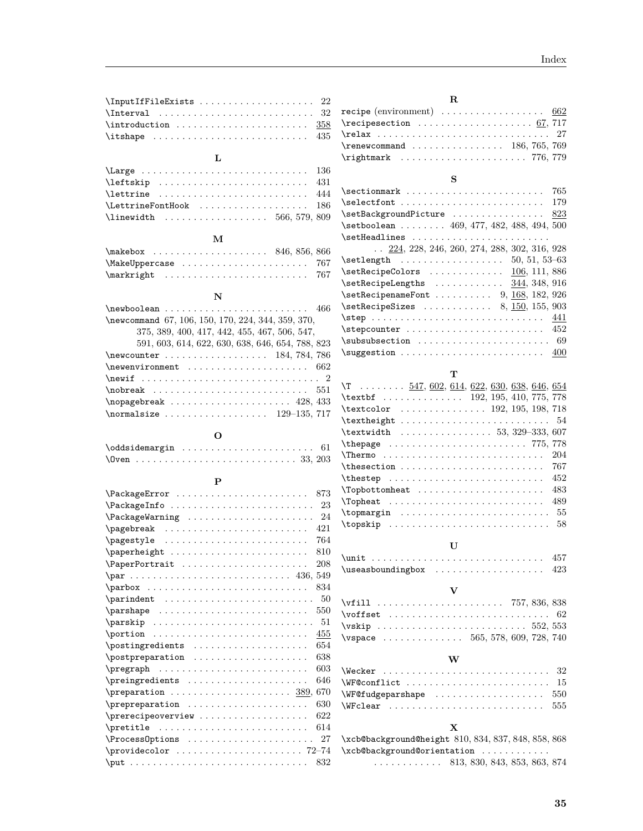| \InputIfFileExists  22                                           |  |
|------------------------------------------------------------------|--|
|                                                                  |  |
| $\int \int \mathcal{S}$                                          |  |
| $\text{itshape} \dots \dots \dots \dots \dots \dots \dots \ 435$ |  |
|                                                                  |  |

# **L**

| \Large  136                                                       |  |  |  |  |  |  |  |  |
|-------------------------------------------------------------------|--|--|--|--|--|--|--|--|
|                                                                   |  |  |  |  |  |  |  |  |
| $\text{lettrine}$ 444                                             |  |  |  |  |  |  |  |  |
| \LettrineFontHook  186                                            |  |  |  |  |  |  |  |  |
| $\{\$ {linewidth} \ldots \ldots \ldots \ldots \quad 566, 579, 809 |  |  |  |  |  |  |  |  |
|                                                                   |  |  |  |  |  |  |  |  |

## **M**

| $\{\text{makebox} \dots \dots \dots \dots \ 846, 856, 866\}$   |  |  |  |  |  |  |  |  |  |  |  |  |
|----------------------------------------------------------------|--|--|--|--|--|--|--|--|--|--|--|--|
| $\{\text{MakeUppercase} \dots \dots \dots \dots \dots \ 767\}$ |  |  |  |  |  |  |  |  |  |  |  |  |
|                                                                |  |  |  |  |  |  |  |  |  |  |  |  |

# **N**

| \newcommand 67, 106, 150, 170, 224, 344, 359, 370,         |
|------------------------------------------------------------|
| 375, 389, 400, 417, 442, 455, 467, 506, 547,               |
| 591, 603, 614, 622, 630, 638, 646, 654, 788, 823           |
| $\neq 784, 786$                                            |
| $\neq 662$                                                 |
|                                                            |
|                                                            |
| $\n\neq 428, 433$                                          |
| $\{normal size \ldots \ldots \ldots \ldots \ 129-135, 717$ |

## **O**

| \oddsidemargin  61 |  |  |  |  |  |  |  |  |  |  |  |
|--------------------|--|--|--|--|--|--|--|--|--|--|--|
|                    |  |  |  |  |  |  |  |  |  |  |  |

## **P**

| 873<br>\PackageError                                                                                                                                                                                                                                                                                                                                                                      |
|-------------------------------------------------------------------------------------------------------------------------------------------------------------------------------------------------------------------------------------------------------------------------------------------------------------------------------------------------------------------------------------------|
| \PackageInfo<br>23                                                                                                                                                                                                                                                                                                                                                                        |
| 24<br>\PackageWarning                                                                                                                                                                                                                                                                                                                                                                     |
| 421<br>$\texttt{pagebreak} \quad \ldots \quad \ldots \quad \ldots$                                                                                                                                                                                                                                                                                                                        |
| 764<br>\pagestyle                                                                                                                                                                                                                                                                                                                                                                         |
| 810<br>\paperheight                                                                                                                                                                                                                                                                                                                                                                       |
| 208<br>\PaperPortrait                                                                                                                                                                                                                                                                                                                                                                     |
|                                                                                                                                                                                                                                                                                                                                                                                           |
| 834                                                                                                                                                                                                                                                                                                                                                                                       |
| 50<br>$\partial$ .                                                                                                                                                                                                                                                                                                                                                                        |
| 550<br>$\{parse  \dots      $                                                                                                                                                                                                                                                                                                                                                             |
| 51                                                                                                                                                                                                                                                                                                                                                                                        |
| $\mathcal{D}$<br>455                                                                                                                                                                                                                                                                                                                                                                      |
| 654<br>$\text{postingredients} \dots \dots \dots \dots \dots$                                                                                                                                                                                                                                                                                                                             |
| 638<br>$\text{postpreparation}$                                                                                                                                                                                                                                                                                                                                                           |
| 603                                                                                                                                                                                                                                                                                                                                                                                       |
| 646<br>\preingredients                                                                                                                                                                                                                                                                                                                                                                    |
| 670<br>$\preccurlyeq$ $\preccurlyeq$ $\preccurlyeq$ $\preccurlyeq$ $\preccurlyeq$ $\preccurlyeq$ $\preccurlyeq$ $\preccurlyeq$ $\preccurlyeq$ $\preccurlyeq$ $\preccurlyeq$ $\preccurlyeq$ $\preccurlyeq$ $\preccurlyeq$ $\preccurlyeq$ $\preccurlyeq$ $\preccurlyeq$ $\preccurlyeq$ $\preccurlyeq$ $\preccurlyeq$ $\preccurlyeq$ $\preccurlyeq$ $\preccurlyeq$ $\preccurlyeq$ $\preccur$ |
| 630<br>\prepreparation                                                                                                                                                                                                                                                                                                                                                                    |
| 622<br>$\preceq$ $\preceq$ $\preceq$ $\preceq$ $\preceq$ $\preceq$ $\preceq$ $\preceq$ $\preceq$ $\preceq$ $\preceq$ $\preceq$ $\preceq$ $\preceq$ $\preceq$ $\preceq$ $\preceq$ $\preceq$ $\preceq$ $\preceq$ $\preceq$ $\preceq$ $\preceq$ $\preceq$ $\preceq$ $\preceq$ $\preceq$ $\preceq$ $\preceq$ $\preceq$ $\preceq$ $\prece$                                                     |
| 614<br>$\{\text{pretitle} \dots \dots \dots \dots \dots \dots \dots \dots$                                                                                                                                                                                                                                                                                                                |
| 27<br>\ProcessOptions                                                                                                                                                                                                                                                                                                                                                                     |
| \providecolor  72-74                                                                                                                                                                                                                                                                                                                                                                      |
| 832<br>$\put              $                                                                                                                                                                                                                                                                                                                                                               |

| $\mathbf R$                                                                                          |     |
|------------------------------------------------------------------------------------------------------|-----|
| recipe (environment) $\ldots \ldots \ldots \ldots \ldots \ldots 662$                                 |     |
| $\lvert \text{recipesection } \ldots \ldots \ldots \ldots \ldots \ldots \ldots \ldots \ldots \ldots$ |     |
|                                                                                                      |     |
| $\verb+\renewcommand+\dots+ \dots+ \dots+ \dots+ \ 186, 765, 769$                                    |     |
| $\rightarrow$ 776, 779                                                                               |     |
|                                                                                                      |     |
| s                                                                                                    |     |
|                                                                                                      | 765 |
|                                                                                                      | 179 |
| \setBackgroundPicture                                                                                | 823 |
| $\setminus$ setboolean  469, 477, 482, 488, 494, 500                                                 |     |
| \setHeadlines                                                                                        |     |
| $\ldots$ 224, 228, 246, 260, 274, 288, 302, 316, 928                                                 |     |
|                                                                                                      |     |
| $\setminus$ setRecipeColors  106, 111, 886                                                           |     |
| $\setminus$ setRecipeLengths $344, 348, 916$                                                         |     |
| $\verb+\setRecipenameFont + \ldots + 9, 168, 182, 926$                                               |     |
| $\setminus$ setRecipeSizes  8, 150, 155, 903                                                         |     |
|                                                                                                      |     |
|                                                                                                      | 452 |
| $\simeq 69$                                                                                          |     |
| $\simeq 400$                                                                                         |     |
|                                                                                                      |     |
| т                                                                                                    |     |
| \T 547, 602, 614, 622, 630, 638, 646, 654                                                            |     |
| \textbf  192, 195, 410, 775, 778                                                                     |     |
| \textcolor  192, 195, 198, 718                                                                       |     |
| $\text{textheight} \dots \dots \dots \dots \dots \dots$                                              | 54  |
| $\text{textwidth}$ 53, 329-333, 607                                                                  |     |
| \thepage  775, 778                                                                                   |     |
|                                                                                                      | 204 |
|                                                                                                      | 767 |
|                                                                                                      | 452 |
| \Topbottomheat                                                                                       | 483 |
|                                                                                                      | 489 |
| $\to$ $\to$ $\ldots$ $\ldots$                                                                        | 55  |
| \topskip                                                                                             | 58  |
|                                                                                                      |     |
| U                                                                                                    |     |
|                                                                                                      |     |
| \useasboundingbox                                                                                    | 423 |

## **V**

| $\texttt{\textbackslash}$ voffset $\;\dots\; \dots\; \dots\; \dots\; \dots\; \dots\; \text{62}$ |  |  |  |  |  |  |  |  |  |  |  |  |  |  |
|-------------------------------------------------------------------------------------------------|--|--|--|--|--|--|--|--|--|--|--|--|--|--|
|                                                                                                 |  |  |  |  |  |  |  |  |  |  |  |  |  |  |
| \vspace $\ldots \ldots \ldots \ldots 565, 578, 609, 728, 740$                                   |  |  |  |  |  |  |  |  |  |  |  |  |  |  |
|                                                                                                 |  |  |  |  |  |  |  |  |  |  |  |  |  |  |

# **W**

| \Wecker $\ldots \ldots \ldots \ldots \ldots \ldots \ldots$                |  |
|---------------------------------------------------------------------------|--|
| $\text{WF@conflict} \dots \dots \dots \dots \dots \dots \dots \dots \ 15$ |  |
|                                                                           |  |
| \WFclear  555                                                             |  |
|                                                                           |  |

# **X**

|                                                 | \xcb@background@height 810,834,837,848,858,868             |
|-------------------------------------------------|------------------------------------------------------------|
| $\xcb@background@orientation \dots \dots \dots$ |                                                            |
|                                                 | $\ldots \ldots \ldots \ldots$ 813, 830, 843, 853, 863, 874 |